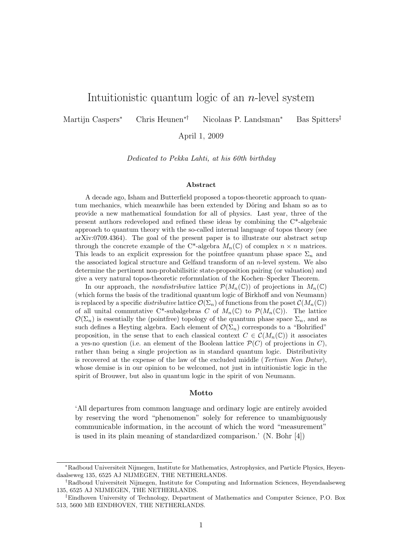## Intuitionistic quantum logic of an  $n$ -level system

Martijn Caspers<sup>∗</sup> Chris Heunen∗† Nicolaas P. Landsman<sup>∗</sup> Bas Spitters‡

April 1, 2009

Dedicated to Pekka Lahti, at his 60th birthday

#### Abstract

A decade ago, Isham and Butterfield proposed a topos-theoretic approach to quantum mechanics, which meanwhile has been extended by Döring and Isham so as to provide a new mathematical foundation for all of physics. Last year, three of the present authors redeveloped and refined these ideas by combining the C\*-algebraic approach to quantum theory with the so-called internal language of topos theory (see arXiv:0709.4364). The goal of the present paper is to illustrate our abstract setup through the concrete example of the C\*-algebra  $M_n(\mathbb{C})$  of complex  $n \times n$  matrices. This leads to an explicit expression for the pointfree quantum phase space  $\Sigma_n$  and the associated logical structure and Gelfand transform of an n-level system. We also determine the pertinent non-probabilisitic state-proposition pairing (or valuation) and give a very natural topos-theoretic reformulation of the Kochen–Specker Theorem.

In our approach, the *nondistributive* lattice  $\mathcal{P}(M_n(\mathbb{C}))$  of projections in  $M_n(\mathbb{C})$ (which forms the basis of the traditional quantum logic of Birkhoff and von Neumann) is replaced by a specific *distributive* lattice  $\mathcal{O}(\Sigma_n)$  of functions from the poset  $\mathcal{C}(M_n(\mathbb{C}))$ of all unital commutative C\*-subalgebras C of  $M_n(\mathbb{C})$  to  $\mathcal{P}(M_n(\mathbb{C}))$ . The lattice  $\mathcal{O}(\Sigma_n)$  is essentially the (pointfree) topology of the quantum phase space  $\Sigma_n$ , and as such defines a Heyting algebra. Each element of  $\mathcal{O}(\Sigma_n)$  corresponds to a "Bohrified" proposition, in the sense that to each classical context  $C \in \mathcal{C}(M_n(\mathbb{C}))$  it associates a yes-no question (i.e. an element of the Boolean lattice  $\mathcal{P}(C)$  of projections in C), rather than being a single projection as in standard quantum logic. Distributivity is recovered at the expense of the law of the excluded middle (Tertium Non Datur), whose demise is in our opinion to be welcomed, not just in intuitionistic logic in the spirit of Brouwer, but also in quantum logic in the spirit of von Neumann.

#### Motto

'All departures from common language and ordinary logic are entirely avoided by reserving the word "phenomenon" solely for reference to unambiguously communicable information, in the account of which the word "measurement" is used in its plain meaning of standardized comparison.' (N. Bohr [4])

<sup>∗</sup>Radboud Universiteit Nijmegen, Institute for Mathematics, Astrophysics, and Particle Physics, Heyendaalseweg 135, 6525 AJ NIJMEGEN, THE NETHERLANDS.

<sup>†</sup>Radboud Universiteit Nijmegen, Institute for Computing and Information Sciences, Heyendaalseweg 135, 6525 AJ NIJMEGEN, THE NETHERLANDS.

<sup>‡</sup>Eindhoven University of Technology, Department of Mathematics and Computer Science, P.O. Box 513, 5600 MB EINDHOVEN, THE NETHERLANDS.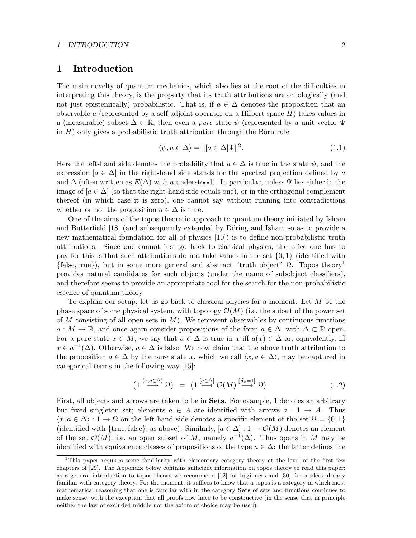### 1 Introduction

The main novelty of quantum mechanics, which also lies at the root of the difficulties in interpreting this theory, is the property that its truth attributions are ontologically (and not just epistemically) probabilistic. That is, if  $a \in \Delta$  denotes the proposition that an observable a (represented by a self-adjoint operator on a Hilbert space  $H$ ) takes values in a (measurable) subset  $\Delta \subset \mathbb{R}$ , then even a *pure* state  $\psi$  (represented by a unit vector  $\Psi$ in  $H$ ) only gives a probabilistic truth attribution through the Born rule

$$
\langle \psi, a \in \Delta \rangle = \| [a \in \Delta] \Psi \|^2. \tag{1.1}
$$

Here the left-hand side denotes the probability that  $a \in \Delta$  is true in the state  $\psi$ , and the expression [ $a \in \Delta$ ] in the right-hand side stands for the spectral projection defined by a and  $\Delta$  (often written as  $E(\Delta)$  with a understood). In particular, unless  $\Psi$  lies either in the image of  $[a \in \Delta]$  (so that the right-hand side equals one), or in the orthogonal complement thereof (in which case it is zero), one cannot say without running into contradictions whether or not the proposition  $a \in \Delta$  is true.

One of the aims of the topos-theoretic approach to quantum theory initiated by Isham and Butterfield [18] (and subsequently extended by Döring and Isham so as to provide a new mathematical foundation for all of physics [10]) is to define non-probabilistic truth attributions. Since one cannot just go back to classical physics, the price one has to pay for this is that such attributions do not take values in the set  $\{0,1\}$  (identified with  ${\text{false, true}}$ , but in some more general and abstract "truth object"  $\Omega$ . Topos theory<sup>1</sup> provides natural candidates for such objects (under the name of subobject classifiers), and therefore seems to provide an appropriate tool for the search for the non-probabilistic essence of quantum theory.

To explain our setup, let us go back to classical physics for a moment. Let M be the phase space of some physical system, with topology  $\mathcal{O}(M)$  (i.e. the subset of the power set of M consisting of all open sets in  $M$ ). We represent observables by continuous functions  $a: M \to \mathbb{R}$ , and once again consider propositions of the form  $a \in \Delta$ , with  $\Delta \subset \mathbb{R}$  open. For a pure state  $x \in M$ , we say that  $a \in \Delta$  is true in x iff  $a(x) \in \Delta$  or, equivalently, iff  $x \in a^{-1}(\Delta)$ . Otherwise,  $a \in \Delta$  is false. We now claim that the above truth attribution to the proposition  $a \in \Delta$  by the pure state x, which we call  $\langle x, a \in \Delta \rangle$ , may be captured in categorical terms in the following way [15]:

$$
\left(1 \xrightarrow{\langle x, a \in \Delta \rangle} \Omega\right) = \left(1 \xrightarrow{[a \in \Delta]} \mathcal{O}(M) \xrightarrow{[\![\delta_x = 1]\!]} \Omega\right). \tag{1.2}
$$

First, all objects and arrows are taken to be in Sets. For example, 1 denotes an arbitrary but fixed singleton set; elements  $a \in A$  are identified with arrows  $a: 1 \rightarrow A$ . Thus  $\langle x, a \in \Delta \rangle : 1 \to \Omega$  on the left-hand side denotes a specific element of the set  $\Omega = \{0, 1\}$ (identified with {true, false}, as above). Similarly,  $[a \in \Delta] : 1 \to \mathcal{O}(M)$  denotes an element of the set  $\mathcal{O}(M)$ , i.e. an open subset of M, namely  $a^{-1}(\Delta)$ . Thus opens in M may be identified with equivalence classes of propositions of the type  $a \in \Delta$ : the latter defines the

<sup>&</sup>lt;sup>1</sup>This paper requires some familiarity with elementary category theory at the level of the first few chapters of [29]. The Appendix below contains sufficient information on topos theory to read this paper; as a general introduction to topos theory we recommend [12] for beginners and [30] for readers already familiar with category theory. For the moment, it suffices to know that a topos is a category in which most mathematical reasoning that one is familiar with in the category Sets of sets and functions continues to make sense, with the exception that all proofs now have to be constructive (in the sense that in principle neither the law of excluded middle nor the axiom of choice may be used).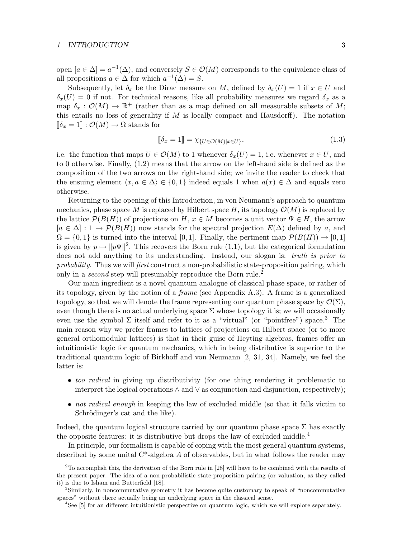open  $[a \in \Delta] = a^{-1}(\Delta)$ , and conversely  $S \in \mathcal{O}(M)$  corresponds to the equivalence class of all propositions  $a \in \Delta$  for which  $a^{-1}(\Delta) = S$ .

Subsequently, let  $\delta_x$  be the Dirac measure on M, defined by  $\delta_x(U) = 1$  if  $x \in U$  and  $\delta_x(U) = 0$  if not. For technical reasons, like all probability measures we regard  $\delta_x$  as a map  $\delta_x : \mathcal{O}(M) \to \mathbb{R}^+$  (rather than as a map defined on all measurable subsets of M; this entails no loss of generality if  $M$  is locally compact and Hausdorff). The notation  $\llbracket \delta_x = 1 \rrbracket : \mathcal{O}(M) \to \Omega$  stands for

$$
\llbracket \delta_x = 1 \rrbracket = \chi_{\{U \in \mathcal{O}(M) \mid x \in U\}},\tag{1.3}
$$

i.e. the function that maps  $U \in \mathcal{O}(M)$  to 1 whenever  $\delta_x(U) = 1$ , i.e. whenever  $x \in U$ , and to 0 otherwise. Finally, (1.2) means that the arrow on the left-hand side is defined as the composition of the two arrows on the right-hand side; we invite the reader to check that the ensuing element  $\langle x, a \in \Delta \rangle \in \{0, 1\}$  indeed equals 1 when  $a(x) \in \Delta$  and equals zero otherwise.

Returning to the opening of this Introduction, in von Neumann's approach to quantum mechanics, phase space M is replaced by Hilbert space H, its topology  $\mathcal{O}(M)$  is replaced by the lattice  $\mathcal{P}(B(H))$  of projections on H,  $x \in M$  becomes a unit vector  $\Psi \in H$ , the arrow  $[a \in \Delta] : 1 \to \mathcal{P}(B(H))$  now stands for the spectral projection  $E(\Delta)$  defined by a, and  $\Omega = \{0, 1\}$  is turned into the interval [0,1]. Finally, the pertinent map  $\mathcal{P}(B(H)) \to [0, 1]$ is given by  $p \mapsto ||p\Psi||^2$ . This recovers the Born rule (1.1), but the categorical formulation does not add anything to its understanding. Instead, our slogan is: truth is prior to probability. Thus we will first construct a non-probabilistic state-proposition pairing, which only in a *second* step will presumably reproduce the Born rule.<sup>2</sup>

Our main ingredient is a novel quantum analogue of classical phase space, or rather of its topology, given by the notion of a frame (see Appendix A.3). A frame is a generalized topology, so that we will denote the frame representing our quantum phase space by  $\mathcal{O}(\Sigma)$ , even though there is no actual underlying space  $\Sigma$  whose topology it is; we will occasionally even use the symbol  $\Sigma$  itself and refer to it as a "virtual" (or "pointfree") space.<sup>3</sup> The main reason why we prefer frames to lattices of projections on Hilbert space (or to more general orthomodular lattices) is that in their guise of Heyting algebras, frames offer an intuitionistic logic for quantum mechanics, which in being distributive is superior to the traditional quantum logic of Birkhoff and von Neumann [2, 31, 34]. Namely, we feel the latter is:

- too radical in giving up distributivity (for one thing rendering it problematic to interpret the logical operations ∧ and ∨ as conjunction and disjunction, respectively);
- not radical enough in keeping the law of excluded middle (so that it falls victim to Schrödinger's cat and the like).

Indeed, the quantum logical structure carried by our quantum phase space  $\Sigma$  has exactly the opposite features: it is distributive but drops the law of excluded middle.<sup>4</sup>

In principle, our formalism is capable of coping with the most general quantum systems, described by some unital  $C^*$ -algebra A of observables, but in what follows the reader may

 $2^2$ To accomplish this, the derivation of the Born rule in [28] will have to be combined with the results of the present paper. The idea of a non-probabilistic state-proposition pairing (or valuation, as they called it) is due to Isham and Butterfield [18].

<sup>&</sup>lt;sup>3</sup>Similarly, in noncommutative geometry it has become quite customary to speak of "noncommutative" spaces" without there actually being an underlying space in the classical sense.

<sup>&</sup>lt;sup>4</sup>See [5] for an different intuitionistic perspective on quantum logic, which we will explore separately.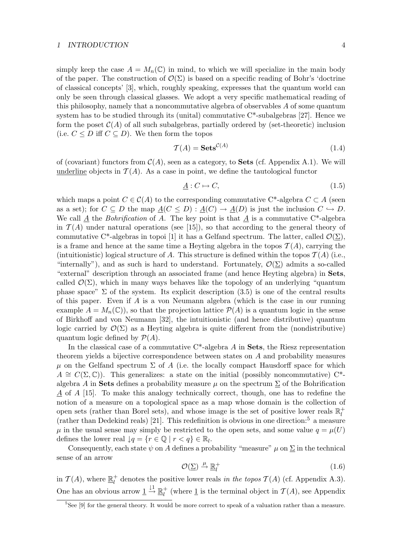simply keep the case  $A = M_n(\mathbb{C})$  in mind, to which we will specialize in the main body of the paper. The construction of  $\mathcal{O}(\Sigma)$  is based on a specific reading of Bohr's 'doctrine of classical concepts' [3], which, roughly speaking, expresses that the quantum world can only be seen through classical glasses. We adopt a very specific mathematical reading of this philosophy, namely that a noncommutative algebra of observables A of some quantum system has to be studied through its (unital) commutative  $C^*$ -subalgebras [27]. Hence we form the poset  $C(A)$  of all such subalgebras, partially ordered by (set-theoretic) inclusion (i.e.  $C \leq D$  iff  $C \subseteq D$ ). We then form the topos

$$
\mathcal{T}(A) = \mathbf{Sets}^{\mathcal{C}(A)}\tag{1.4}
$$

of (covariant) functors from  $\mathcal{C}(A)$ , seen as a category, to **Sets** (cf. Appendix A.1). We will underline objects in  $\mathcal{T}(A)$ . As a case in point, we define the tautological functor

$$
\underline{A}: C \mapsto C,\tag{1.5}
$$

which maps a point  $C \in \mathcal{C}(A)$  to the corresponding commutative C<sup>\*</sup>-algebra  $C \subset A$  (seen as a set); for  $C \subseteq D$  the map  $\underline{A}(C \leq D) : \underline{A}(C) \to \underline{A}(D)$  is just the inclusion  $C \hookrightarrow D$ . We call A the Bohrification of A. The key point is that A is a commutative  $C^*$ -algebra in  $\mathcal{T}(A)$  under natural operations (see [15]), so that according to the general theory of commutative C\*-algebras in topoi [1] it has a Gelfand spectrum. The latter, called  $\mathcal{O}(\Sigma)$ , is a frame and hence at the same time a Heyting algebra in the topos  $\mathcal{T}(A)$ , carrying the (intuitionistic) logical structure of A. This structure is defined within the topos  $\mathcal{T}(A)$  (i.e., "internally"), and as such is hard to understand. Fortunately,  $\mathcal{O}(\Sigma)$  admits a so-called "external" description through an associated frame (and hence Heyting algebra) in Sets, called  $\mathcal{O}(\Sigma)$ , which in many ways behaves like the topology of an underlying "quantum" phase space"  $\Sigma$  of the system. Its explicit description (3.5) is one of the central results of this paper. Even if A is a von Neumann algebra (which is the case in our running example  $A = M_n(\mathbb{C})$ , so that the projection lattice  $\mathcal{P}(A)$  is a quantum logic in the sense of Birkhoff and von Neumann [32], the intuitionistic (and hence distributive) quantum logic carried by  $\mathcal{O}(\Sigma)$  as a Heyting algebra is quite different from the (nondistributive) quantum logic defined by  $\mathcal{P}(A)$ .

In the classical case of a commutative  $C^*$ -algebra A in Sets, the Riesz representation theorem yields a bijective correspondence between states on A and probability measures  $\mu$  on the Gelfand spectrum  $\Sigma$  of A (i.e. the locally compact Hausdorff space for which  $A \cong C(\Sigma, \mathbb{C})$ . This generalizes: a state on the initial (possibly noncommutative) C<sup>\*</sup>algebra A in Sets defines a probability measure  $\mu$  on the spectrum  $\Sigma$  of the Bohrification A of A [15]. To make this analogy technically correct, though, one has to redefine the notion of a measure on a topological space as a map whose domain is the collection of open sets (rather than Borel sets), and whose image is the set of positive lower reals  $\mathbb{R}^+_l$ (rather than Dedekind reals) [21]. This redefinition is obvious in one direction:<sup>5</sup> a measure  $\mu$  in the usual sense may simply be restricted to the open sets, and some value  $q = \mu(U)$ defines the lower real  $\downarrow q = \{r \in \mathbb{Q} \mid r < q\} \in \mathbb{R}_l$ .

Consequently, each state  $\psi$  on A defines a probability "measure"  $\mu$  on  $\Sigma$  in the technical sense of an arrow

$$
\mathcal{O}(\underline{\Sigma}) \xrightarrow{\mu} \underline{\mathbb{R}}_l^+ \tag{1.6}
$$

in  $\mathcal{T}(A)$ , where  $\mathbb{R}^+_l$ <sup>+</sup> denotes the positive lower reals in the topos  $\mathcal{T}(A)$  (cf. Appendix A.3). One has an obvious arrow  $\underline{1} \stackrel{\downarrow 1}{\rightarrow} \underline{\mathbb{R}}_l^+$ <sup>+</sup> (where <u>1</u> is the terminal object in  $\mathcal{T}(A)$ , see Appendix

 $5$ See [9] for the general theory. It would be more correct to speak of a valuation rather than a measure.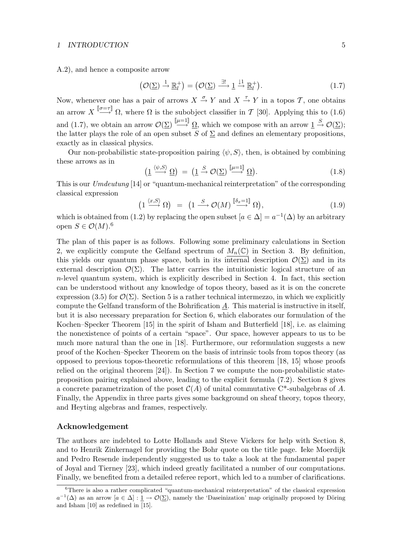A.2), and hence a composite arrow

$$
\left(\mathcal{O}(\underline{\Sigma}) \stackrel{1}{\to} \underline{\mathbb{R}}_l^+\right) = \left(\mathcal{O}(\underline{\Sigma}) \stackrel{\exists!}{\to} \underline{1} \stackrel{\downarrow 1}{\to} \underline{\mathbb{R}}_l^+\right). \tag{1.7}
$$

Now, whenever one has a pair of arrows  $X \stackrel{\sigma}{\rightarrow} Y$  and  $X \stackrel{\tau}{\rightarrow} Y$  in a topos  $\mathcal{T}$ , one obtains an arrow  $X \stackrel{\lbrack \sigma = \tau \rbrack}{\longrightarrow} \Omega$ , where  $\Omega$  is the subobject classifier in T [30]. Applying this to (1.6) and (1.7), we obtain an arrow  $\mathcal{O}(\Sigma) \stackrel{\lbrack \mu=1 \rbrack} \to \Omega$ , which we compose with an arrow  $\underline{1} \stackrel{S}{\to} \mathcal{O}(\Sigma)$ ; the latter plays the role of an open subset S of  $\Sigma$  and defines an elementary propositions, exactly as in classical physics.

Our non-probabilistic state-proposition pairing  $\langle \psi, S \rangle$ , then, is obtained by combining these arrows as in

$$
\left(\underline{1} \xrightarrow{\langle \psi, S \rangle} \underline{\Omega}\right) = \left(\underline{1} \xrightarrow{S} \mathcal{O}(\underline{\Sigma}) \xrightarrow{\llbracket \mu = 1 \rrbracket} \underline{\Omega}\right). \tag{1.8}
$$

This is our Umdeutung [14] or "quantum-mechanical reinterpretation" of the corresponding classical expression

$$
\left(1 \xrightarrow{\langle x, S \rangle} \Omega\right) = \left(1 \xrightarrow{S} \mathcal{O}(M) \xrightarrow{\llbracket \delta_x = 1 \rrbracket} \Omega\right),\tag{1.9}
$$

which is obtained from (1.2) by replacing the open subset  $[a \in \Delta] = a^{-1}(\Delta)$  by an arbitrary open  $S \in \mathcal{O}(M)$ .<sup>6</sup>

The plan of this paper is as follows. Following some preliminary calculations in Section 2, we explicitly compute the Gelfand spectrum of  $M_n(\mathbb{C})$  in Section 3. By definition, this yields our quantum phase space, both in its internal description  $\mathcal{O}(\Sigma)$  and in its external description  $\mathcal{O}(\Sigma)$ . The latter carries the intuitionistic logical structure of an  $n$ -level quantum system, which is explicitly described in Section 4. In fact, this section can be understood without any knowledge of topos theory, based as it is on the concrete expression (3.5) for  $\mathcal{O}(\Sigma)$ . Section 5 is a rather technical intermezzo, in which we explicitly compute the Gelfand transform of the Bohrification A. This material is instructive in itself, but it is also necessary preparation for Section 6, which elaborates our formulation of the Kochen–Specker Theorem [15] in the spirit of Isham and Butterfield [18], i.e. as claiming the nonexistence of points of a certain "space". Our space, however appears to us to be much more natural than the one in [18]. Furthermore, our reformulation suggests a new proof of the Kochen–Specker Theorem on the basis of intrinsic tools from topos theory (as opposed to previous topos-theoretic reformulations of this theorem [18, 15] whose proofs relied on the original theorem [24]). In Section 7 we compute the non-probabilistic stateproposition pairing explained above, leading to the explicit formula (7.2). Section 8 gives a concrete parametrization of the poset  $C(A)$  of unital commutative C<sup>\*</sup>-subalgebras of A. Finally, the Appendix in three parts gives some background on sheaf theory, topos theory, and Heyting algebras and frames, respectively.

#### Acknowledgement

The authors are indebted to Lotte Hollands and Steve Vickers for help with Section 8, and to Henrik Zinkernagel for providing the Bohr quote on the title page. Ieke Moerdijk and Pedro Resende independently suggested us to take a look at the fundamental paper of Joyal and Tierney [23], which indeed greatly facilitated a number of our computations. Finally, we benefited from a detailed referee report, which led to a number of clarifications.

 $6$ There is also a rather complicated "quantum-mechanical reinterpretation" of the classical expression  $a^{-1}(\Delta)$  as an arrow  $[a \in \Delta] : \underline{1} \to \mathcal{O}(\Sigma)$ , namely the 'Daseinization' map originally proposed by Döring and Isham [10] as redefined in [15].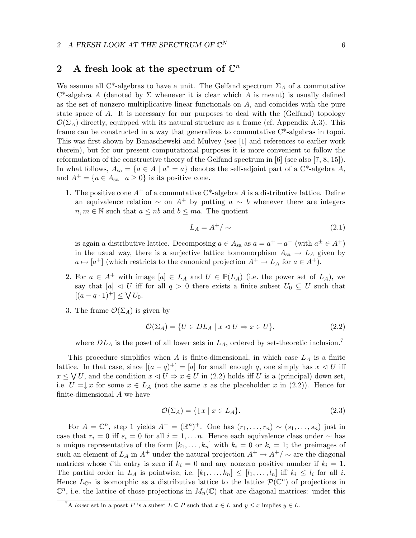# 2 A fresh look at the spectrum of  $\mathbb{C}^n$

We assume all C<sup>\*</sup>-algebras to have a unit. The Gelfand spectrum  $\Sigma_A$  of a commutative  $C^*$ -algebra A (denoted by  $\Sigma$  whenever it is clear which A is meant) is usually defined as the set of nonzero multiplicative linear functionals on  $A$ , and coincides with the pure state space of A. It is necessary for our purposes to deal with the (Gelfand) topology  $\mathcal{O}(\Sigma_A)$  directly, equipped with its natural structure as a frame (cf. Appendix A.3). This frame can be constructed in a way that generalizes to commutative C\*-algebras in topoi. This was first shown by Banaschewski and Mulvey (see [1] and references to earlier work therein), but for our present computational purposes it is more convenient to follow the reformulation of the constructive theory of the Gelfand spectrum in [6] (see also [7, 8, 15]). In what follows,  $A_{sa} = \{a \in A \mid a^* = a\}$  denotes the self-adjoint part of a C<sup>\*</sup>-algebra A, and  $A^+ = \{a \in A_{sa} \mid a \ge 0\}$  is its positive cone.

1. The positive cone  $A^+$  of a commutative C<sup>\*</sup>-algebra A is a distributive lattice. Define an equivalence relation  $\sim$  on  $A^+$  by putting  $a \sim b$  whenever there are integers  $n, m \in \mathbb{N}$  such that  $a \leq nb$  and  $b \leq ma$ . The quotient

$$
L_A = A^+ / \sim \tag{2.1}
$$

is again a distributive lattice. Decomposing  $a \in A_{sa}$  as  $a = a^+ - a^-$  (with  $a^{\pm} \in A^+$ ) in the usual way, there is a surjective lattice homomorphism  $A_{sa} \rightarrow L_A$  given by  $a \mapsto [a^+]$  (which restricts to the canonical projection  $A^+ \to L_A$  for  $a \in A^+$ ).

- 2. For  $a \in A^+$  with image  $[a] \in L_A$  and  $U \in \mathbb{P}(L_A)$  (i.e. the power set of  $L_A$ ), we say that  $[a] \triangleleft U$  iff for all  $q > 0$  there exists a finite subset  $U_0 \subseteq U$  such that  $[(a - q \cdot 1)^+] \leq \bigvee U_0.$
- 3. The frame  $\mathcal{O}(\Sigma_A)$  is given by

$$
\mathcal{O}(\Sigma_A) = \{ U \in DL_A \mid x \lhd U \Rightarrow x \in U \},\tag{2.2}
$$

where  $DL_A$  is the poset of all lower sets in  $L_A$ , ordered by set-theoretic inclusion.<sup>7</sup>

This procedure simplifies when A is finite-dimensional, in which case  $L_A$  is a finite lattice. In that case, since  $[(a-q)^+] = [a]$  for small enough q, one simply has  $x \le U$  iff  $x \leq \bigvee U$ , and the condition  $x \triangleleft U \Rightarrow x \in U$  in (2.2) holds iff U is a (principal) down set, i.e.  $U = \downarrow x$  for some  $x \in L_A$  (not the same x as the placeholder x in (2.2)). Hence for finite-dimensional A we have

$$
\mathcal{O}(\Sigma_A) = \{ \downarrow x \mid x \in L_A \}. \tag{2.3}
$$

For  $A = \mathbb{C}^n$ , step 1 yields  $A^+ = (\mathbb{R}^n)^+$ . One has  $(r_1, \ldots, r_n) \sim (s_1, \ldots, s_n)$  just in case that  $r_i = 0$  iff  $s_i = 0$  for all  $i = 1, \ldots n$ . Hence each equivalence class under  $\sim$  has a unique representative of the form  $[k_1, \ldots, k_n]$  with  $k_i = 0$  or  $k_i = 1$ ; the preimages of such an element of  $L_A$  in  $A^+$  under the natural projection  $A^+ \to A^+/\sim$  are the diagonal matrices whose i'th entry is zero if  $k_i = 0$  and any nonzero positive number if  $k_i = 1$ . The partial order in  $L_A$  is pointwise, i.e.  $[k_1, \ldots, k_n] \leq [l_1, \ldots, l_n]$  iff  $k_i \leq l_i$  for all i. Hence  $L_{\mathbb{C}^n}$  is isomorphic as a distributive lattice to the lattice  $\mathcal{P}(\mathbb{C}^n)$  of projections in  $\mathbb{C}^n$ , i.e. the lattice of those projections in  $M_n(\mathbb{C})$  that are diagonal matrices: under this

<sup>&</sup>lt;sup>7</sup>A lower set in a poset P is a subset  $L \subseteq P$  such that  $x \in L$  and  $y \leq x$  implies  $y \in L$ .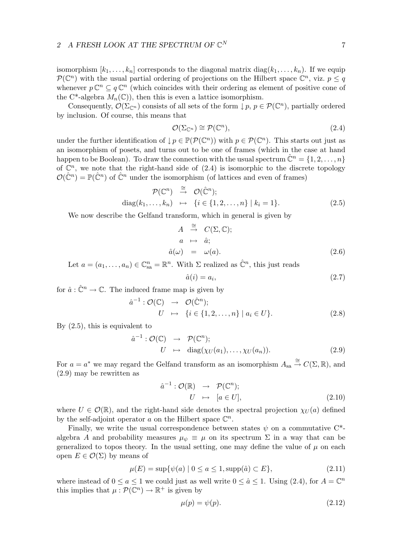#### 2 A FRESH LOOK AT THE SPECTRUM OF  $\mathbb{C}^N$

isomorphism  $[k_1, \ldots, k_n]$  corresponds to the diagonal matrix  $diag(k_1, \ldots, k_n)$ . If we equip  $\mathcal{P}(\mathbb{C}^n)$  with the usual partial ordering of projections on the Hilbert space  $\mathbb{C}^n$ , viz.  $p \leq q$ whenever  $p\mathbb{C}^n \subseteq q\mathbb{C}^n$  (which coincides with their ordering as element of positive cone of the C<sup>\*</sup>-algebra  $M_n(\mathbb{C})$ , then this is even a lattice isomorphism.

Consequently,  $\mathcal{O}(\Sigma_{\mathbb{C}^n})$  consists of all sets of the form  $\downarrow p, p \in \mathcal{P}(\mathbb{C}^n)$ , partially ordered by inclusion. Of course, this means that

$$
\mathcal{O}(\Sigma_{\mathbb{C}^n}) \cong \mathcal{P}(\mathbb{C}^n),\tag{2.4}
$$

under the further identification of  $\downarrow p \in \mathbb{P}(\mathcal{P}(\mathbb{C}^n))$  with  $p \in \mathcal{P}(\mathbb{C}^n)$ . This starts out just as an isomorphism of posets, and turns out to be one of frames (which in the case at hand happen to be Boolean). To draw the connection with the usual spectrum  $\hat{\mathbb{C}}^n = \{1, 2, ..., n\}$ of  $\mathbb{C}^n$ , we note that the right-hand side of  $(2.4)$  is isomorphic to the discrete topology  $\mathcal{O}(\hat{\mathbb{C}}^n) = \mathbb{P}(\hat{\mathbb{C}}^n)$  of  $\hat{\mathbb{C}}^n$  under the isomorphism (of lattices and even of frames)

$$
\mathcal{P}(\mathbb{C}^n) \stackrel{\cong}{\to} \mathcal{O}(\hat{\mathbb{C}}^n);
$$
  
diag $(k_1, ..., k_n)$   $\mapsto \{i \in \{1, 2, ..., n\} \mid k_i = 1\}.$  (2.5)

We now describe the Gelfand transform, which in general is given by

$$
A \stackrel{\cong}{\rightarrow} C(\Sigma, \mathbb{C});
$$
  
\n
$$
a \mapsto \hat{a};
$$
  
\n
$$
\hat{a}(\omega) = \omega(a).
$$
\n(2.6)

Let  $a = (a_1, \ldots, a_n) \in \mathbb{C}_{sa}^n = \mathbb{R}^n$ . With  $\Sigma$  realized as  $\hat{\mathbb{C}}^n$ , this just reads

$$
\hat{a}(i) = a_i,\tag{2.7}
$$

for  $\hat{a}: \hat{\mathbb{C}}^n \to \mathbb{C}$ . The induced frame map is given by

$$
\hat{a}^{-1} : \mathcal{O}(\mathbb{C}) \rightarrow \mathcal{O}(\hat{\mathbb{C}}^n);
$$
  
\n
$$
U \rightarrow \{i \in \{1, 2, \dots, n\} \mid a_i \in U\}.
$$
\n(2.8)

By (2.5), this is equivalent to

$$
\hat{a}^{-1}: \mathcal{O}(\mathbb{C}) \rightarrow \mathcal{P}(\mathbb{C}^n);
$$
  
\n
$$
U \rightarrow \text{diag}(\chi_U(a_1), \dots, \chi_U(a_n)).
$$
\n(2.9)

For  $a = a^*$  we may regard the Gelfand transform as an isomorphism  $A_{sa} \stackrel{\cong}{\rightarrow} C(\Sigma, \mathbb{R})$ , and (2.9) may be rewritten as

$$
\hat{a}^{-1}: \mathcal{O}(\mathbb{R}) \rightarrow \mathcal{P}(\mathbb{C}^n);
$$
  
\n
$$
U \rightarrow [a \in U],
$$
\n(2.10)

where  $U \in \mathcal{O}(\mathbb{R})$ , and the right-hand side denotes the spectral projection  $\chi_U(a)$  defined by the self-adjoint operator a on the Hilbert space  $\mathbb{C}^n$ .

Finally, we write the usual correspondence between states  $\psi$  on a commutative C<sup>\*</sup>algebra A and probability measures  $\mu_{\psi} \equiv \mu$  on its spectrum  $\Sigma$  in a way that can be generalized to topos theory. In the usual setting, one may define the value of  $\mu$  on each open  $E \in \mathcal{O}(\Sigma)$  by means of

$$
\mu(E) = \sup \{ \psi(a) \mid 0 \le a \le 1, \text{supp}(\hat{a}) \subset E \},\tag{2.11}
$$

where instead of  $0 \le a \le 1$  we could just as well write  $0 \le \hat{a} \le 1$ . Using  $(2.4)$ , for  $A = \mathbb{C}^n$ this implies that  $\mu : \mathcal{P}(\mathbb{C}^n) \to \mathbb{R}^+$  is given by

$$
\mu(p) = \psi(p). \tag{2.12}
$$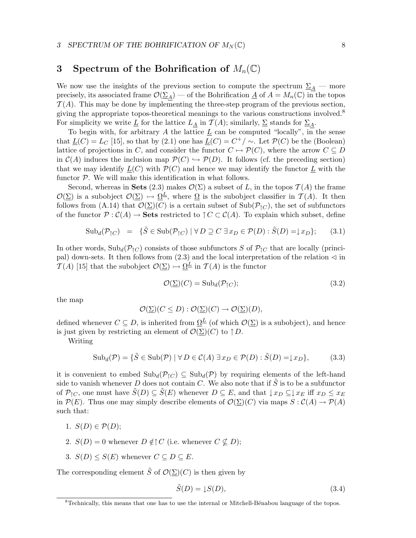## 3 Spectrum of the Bohrification of  $M_n(\mathbb{C})$

We now use the insights of the previous section to compute the spectrum  $\Sigma_A$  — more precisely, its associated frame  $\mathcal{O}(\underline{\Sigma}_A)$  — of the Bohrification  $\underline{A}$  of  $A = M_n(\mathbb{C})$  in the topos  $\mathcal{T}(A)$ . This may be done by implementing the three-step program of the previous section, giving the appropriate topos-theoretical meanings to the various constructions involved.<sup>8</sup> For simplicity we write  $\underline{L}$  for the lattice  $L_A$  in  $\mathcal{T}(A)$ ; similarly,  $\underline{\Sigma}$  stands for  $\underline{\Sigma}_A$ .

To begin with, for arbitrary A the lattice  $\underline{L}$  can be computed "locally", in the sense that  $\underline{L}(C) = L_C$  [15], so that by (2.1) one has  $\underline{L}(C) = C^+/\sim$ . Let  $\mathcal{P}(C)$  be the (Boolean) lattice of projections in C, and consider the functor  $C \mapsto \mathcal{P}(C)$ , where the arrow  $C \subseteq D$ in  $C(A)$  induces the inclusion map  $\mathcal{P}(C) \hookrightarrow \mathcal{P}(D)$ . It follows (cf. the preceding section) that we may identify  $L(C)$  with  $\mathcal{P}(C)$  and hence we may identify the functor L with the functor  $P$ . We will make this identification in what follows.

Second, whereas in Sets (2.3) makes  $\mathcal{O}(\Sigma)$  a subset of L, in the topos  $\mathcal{T}(A)$  the frame  $\mathcal{O}(\Sigma)$  is a subobject  $\mathcal{O}(\Sigma) \rightarrow \Omega^{\underline{L}}$ , where  $\Omega$  is the subobject classifier in  $\mathcal{T}(A)$ . It then follows from (A.14) that  $\mathcal{O}(\Sigma)(C)$  is a certain subset of Sub $(\mathcal{P}_{\uparrow C})$ , the set of subfunctors of the functor  $\mathcal{P}: \mathcal{C}(A) \to \mathbf{Sets}$  restricted to  $\uparrow C \subset \mathcal{C}(A)$ . To explain which subset, define

$$
\text{Sub}_{d}(\mathcal{P}_{\uparrow C}) = \{\tilde{S} \in \text{Sub}(\mathcal{P}_{\uparrow C}) \mid \forall D \supseteq C \exists x_D \in \mathcal{P}(D) : \tilde{S}(D) = \downarrow x_D\};\tag{3.1}
$$

In other words,  $\text{Sub}_d(\mathcal{P}_{\uparrow C})$  consists of those subfunctors S of  $\mathcal{P}_{\uparrow C}$  that are locally (principal) down-sets. It then follows from  $(2.3)$  and the local interpretation of the relation  $\triangleleft$  in  $\mathcal{T}(A)$  [15] that the subobject  $\mathcal{O}(\Sigma) \rightarrow \Omega^{\underline{L}}$  in  $\mathcal{T}(A)$  is the functor

$$
\mathcal{O}(\underline{\Sigma})(C) = \mathrm{Sub}_d(\mathcal{P}_{\uparrow C});\tag{3.2}
$$

the map

$$
\mathcal{O}(\underline{\Sigma})(C \leq D) : \mathcal{O}(\underline{\Sigma})(C) \to \mathcal{O}(\underline{\Sigma})(D),
$$

defined whenever  $C \subseteq D$ , is inherited from  $\Omega^{\underline{L}}$  (of which  $\mathcal{O}(\Sigma)$ ) is a subobject), and hence is just given by restricting an element of  $\mathcal{O}(\Sigma)(C)$  to  $\uparrow D$ .

Writing

$$
\text{Sub}_{d}(\mathcal{P}) = \{ \tilde{S} \in \text{Sub}(\mathcal{P}) \mid \forall D \in \mathcal{C}(A) \exists x_D \in \mathcal{P}(D) : \tilde{S}(D) = \downarrow x_D \},\tag{3.3}
$$

it is convenient to embed  $\text{Sub}_d(\mathcal{P}_{\uparrow C}) \subseteq \text{Sub}_d(\mathcal{P})$  by requiring elements of the left-hand side to vanish whenever D does not contain C. We also note that if  $\tilde{S}$  is to be a subfunctor of  $\mathcal{P}_{\uparrow C}$ , one must have  $\tilde{S}(D) \subseteq \tilde{S}(E)$  whenever  $D \subseteq E$ , and that  $\downarrow x_D \subseteq \downarrow x_E$  iff  $x_D \leq x_E$ in  $\mathcal{P}(E)$ . Thus one may simply describe elements of  $\mathcal{O}(\underline{\Sigma})(C)$  via maps  $S : \mathcal{C}(A) \to \mathcal{P}(A)$ such that:

- 1.  $S(D) \in \mathcal{P}(D)$ ;
- 2.  $S(D) = 0$  whenever  $D \notin \uparrow C$  (i.e. whenever  $C \nsubseteq D$ );
- 3.  $S(D) \leq S(E)$  whenever  $C \subseteq D \subseteq E$ .

The corresponding element  $\tilde{S}$  of  $\mathcal{O}(\Sigma)(C)$  is then given by

$$
\tilde{S}(D) = \downarrow S(D),\tag{3.4}
$$

 ${}^{8}$ Technically, this means that one has to use the internal or Mitchell-Bénabou language of the topos.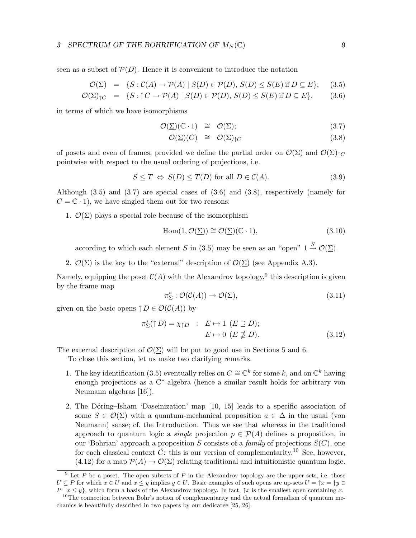seen as a subset of  $\mathcal{P}(D)$ . Hence it is convenient to introduce the notation

$$
\mathcal{O}(\Sigma) = \{ S : \mathcal{C}(A) \to \mathcal{P}(A) \mid S(D) \in \mathcal{P}(D), S(D) \le S(E) \text{ if } D \subseteq E \}; \quad (3.5)
$$

$$
\mathcal{O}(\Sigma)_{\uparrow C} = \{ S : \uparrow C \to \mathcal{P}(A) \mid S(D) \in \mathcal{P}(D), S(D) \le S(E) \text{ if } D \subseteq E \}, \tag{3.6}
$$

in terms of which we have isomorphisms

$$
\mathcal{O}(\underline{\Sigma})(\mathbb{C} \cdot 1) \cong \mathcal{O}(\Sigma); \tag{3.7}
$$

$$
\mathcal{O}(\underline{\Sigma})(C) \cong \mathcal{O}(\Sigma)_{\uparrow C} \tag{3.8}
$$

of posets and even of frames, provided we define the partial order on  $\mathcal{O}(\Sigma)$  and  $\mathcal{O}(\Sigma)_{\uparrow C}$ pointwise with respect to the usual ordering of projections, i.e.

$$
S \le T \Leftrightarrow S(D) \le T(D) \text{ for all } D \in \mathcal{C}(A). \tag{3.9}
$$

Although  $(3.5)$  and  $(3.7)$  are special cases of  $(3.6)$  and  $(3.8)$ , respectively (namely for  $C = \mathbb{C} \cdot 1$ , we have singled them out for two reasons:

1.  $\mathcal{O}(\Sigma)$  plays a special role because of the isomorphism

$$
Hom(1, \mathcal{O}(\underline{\Sigma})) \cong \mathcal{O}(\underline{\Sigma})(\mathbb{C} \cdot 1), \tag{3.10}
$$

according to which each element S in (3.5) may be seen as an "open"  $1 \stackrel{S}{\rightarrow} \mathcal{O}(\Sigma)$ .

2.  $\mathcal{O}(\Sigma)$  is the key to the "external" description of  $\mathcal{O}(\Sigma)$  (see Appendix A.3).

Namely, equipping the poset  $\mathcal{C}(A)$  with the Alexandrov topology, <sup>9</sup> this description is given by the frame map

$$
\pi_{\Sigma}^* : \mathcal{O}(\mathcal{C}(A)) \to \mathcal{O}(\Sigma), \tag{3.11}
$$

given on the basic opens  $\uparrow D \in \mathcal{O}(\mathcal{C}(A))$  by

$$
\pi_{\Sigma}^{*}(\uparrow D) = \chi_{\uparrow D} : E \mapsto 1 \ (E \supseteq D);
$$
  
 
$$
E \mapsto 0 \ (E \supsetneq D). \tag{3.12}
$$

The external description of  $\mathcal{O}(\Sigma)$  will be put to good use in Sections 5 and 6.

To close this section, let us make two clarifying remarks.

- 1. The key identification (3.5) eventually relies on  $C \cong \mathbb{C}^k$  for some k, and on  $\mathbb{C}^k$  having enough projections as a C\*-algebra (hence a similar result holds for arbitrary von Neumann algebras [16]).
- 2. The Döring–Isham 'Daseinization' map  $[10, 15]$  leads to a specific association of some  $S \in \mathcal{O}(\Sigma)$  with a quantum-mechanical proposition  $a \in \Delta$  in the usual (von Neumann) sense; cf. the Introduction. Thus we see that whereas in the traditional approach to quantum logic a *single* projection  $p \in \mathcal{P}(A)$  defines a proposition, in our 'Bohrian' approach a proposition S consists of a family of projections  $S(C)$ , one for each classical context C: this is our version of complementarity.<sup>10</sup> See, however, (4.12) for a map  $\mathcal{P}(A) \to \mathcal{O}(\Sigma)$  relating traditional and intuitionistic quantum logic.

 $9$  Let P be a poset. The open subsets of P in the Alexandrov topology are the upper sets, i.e. those  $U \subseteq P$  for which  $x \in U$  and  $x \leq y$  implies  $y \in U$ . Basic examples of such opens are up-sets  $U = \uparrow x = \{y \in V\}$  $P | x \leq y$ , which form a basis of the Alexandrov topology. In fact,  $\uparrow x$  is the smallest open containing x.

<sup>&</sup>lt;sup>10</sup>The connection between Bohr's notion of complementarity and the actual formalism of quantum mechanics is beautifully described in two papers by our dedicatee [25, 26].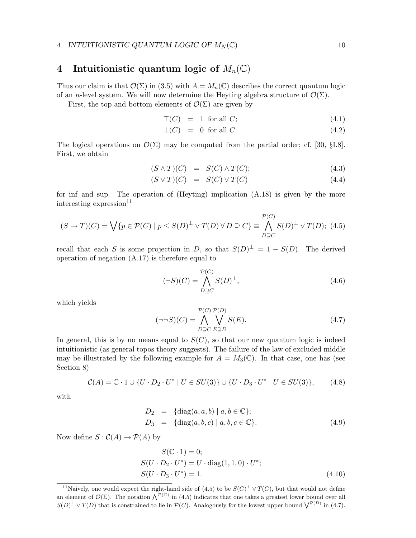#### 4 INTUITIONISTIC QUANTUM LOGIC OF  $M_N(\mathbb{C})$  10

# 4 Intuitionistic quantum logic of  $M_n(\mathbb{C})$

Thus our claim is that  $\mathcal{O}(\Sigma)$  in (3.5) with  $A = M_n(\mathbb{C})$  describes the correct quantum logic of an n-level system. We will now determine the Heyting algebra structure of  $\mathcal{O}(\Sigma)$ .

First, the top and bottom elements of  $\mathcal{O}(\Sigma)$  are given by

$$
\mathcal{T}(C) = 1 \text{ for all } C; \tag{4.1}
$$

$$
\bot(C) = 0 \text{ for all } C. \tag{4.2}
$$

The logical operations on  $\mathcal{O}(\Sigma)$  may be computed from the partial order; cf. [30, §I.8]. First, we obtain

$$
(S \wedge T)(C) = S(C) \wedge T(C); \qquad (4.3)
$$

$$
(S \vee T)(C) = S(C) \vee T(C) \tag{4.4}
$$

for inf and sup. The operation of (Heyting) implication (A.18) is given by the more interesting expression $^{11}$ 

$$
(S \to T)(C) = \bigvee \{ p \in \mathcal{P}(C) \mid p \leq S(D)^{\perp} \lor T(D) \lor D \supseteq C \} \equiv \bigwedge_{D \supseteq C}^{P(C)} S(D)^{\perp} \lor T(D); \tag{4.5}
$$

recall that each S is some projection in D, so that  $S(D)^{\perp} = 1 - S(D)$ . The derived operation of negation (A.17) is therefore equal to

$$
(\neg S)(C) = \bigwedge_{D \supseteq C}^{\mathcal{P}(C)} S(D)^{\perp},\tag{4.6}
$$

which yields

$$
(\neg \neg S)(C) = \bigwedge_{D \supseteq C} \bigvee_{E \supseteq D} S(E). \tag{4.7}
$$

In general, this is by no means equal to  $S(C)$ , so that our new quantum logic is indeed intuitionistic (as general topos theory suggests). The failure of the law of excluded middle may be illustrated by the following example for  $A = M_3(\mathbb{C})$ . In that case, one has (see Section 8)

$$
\mathcal{C}(A) = \mathbb{C} \cdot 1 \cup \{ U \cdot D_2 \cdot U^* \mid U \in SU(3) \} \cup \{ U \cdot D_3 \cdot U^* \mid U \in SU(3) \},\tag{4.8}
$$

with

$$
D_2 = \{ \text{diag}(a, a, b) \mid a, b \in \mathbb{C} \};
$$
  
\n
$$
D_3 = \{ \text{diag}(a, b, c) \mid a, b, c \in \mathbb{C} \}. \tag{4.9}
$$

Now define  $S : C(A) \to \mathcal{P}(A)$  by

$$
S(\mathbb{C} \cdot 1) = 0;
$$
  
\n
$$
S(U \cdot D_2 \cdot U^*) = U \cdot \text{diag}(1, 1, 0) \cdot U^*;
$$
  
\n
$$
S(U \cdot D_3 \cdot U^*) = 1.
$$
 (4.10)

<sup>&</sup>lt;sup>11</sup>Naively, one would expect the right-hand side of (4.5) to be  $S(C)^{\perp} \vee T(C)$ , but that would not define an element of  $\mathcal{O}(\Sigma)$ . The notation  $\bigwedge^{\mathcal{P}(C)}$  in (4.5) indicates that one takes a greatest lower bound over all  $S(D)^{\perp} \vee T(D)$  that is constrained to lie in  $\mathcal{P}(C)$ . Analogously for the lowest upper bound  $\bigvee^{\mathcal{P}(D)}$  in (4.7).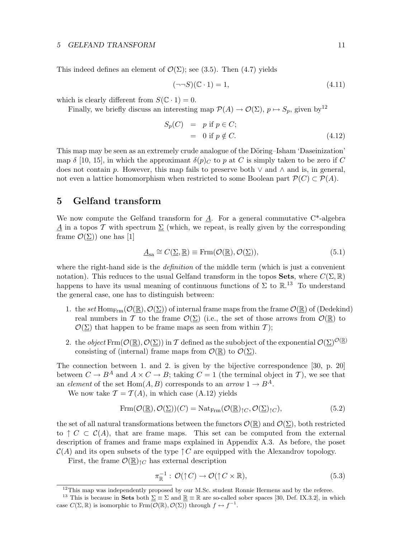#### 5 GELFAND TRANSFORM 11

This indeed defines an element of  $\mathcal{O}(\Sigma)$ ; see (3.5). Then (4.7) yields

$$
(\neg \neg S)(\mathbb{C} \cdot 1) = 1,\tag{4.11}
$$

which is clearly different from  $S(\mathbb{C} \cdot 1) = 0$ .

Finally, we briefly discuss an interesting map  $\mathcal{P}(A) \to \mathcal{O}(\Sigma)$ ,  $p \mapsto S_p$ , given by<sup>12</sup>

$$
S_p(C) = p \text{ if } p \in C; = 0 \text{ if } p \notin C.
$$
 (4.12)

This map may be seen as an extremely crude analogue of the Döring–Isham 'Daseinization' map  $\delta$  [10, 15], in which the approximant  $\delta(p)_C$  to p at C is simply taken to be zero if C does not contain p. However, this map fails to preserve both  $\vee$  and  $\wedge$  and is, in general, not even a lattice homomorphism when restricted to some Boolean part  $\mathcal{P}(C) \subset \mathcal{P}(A)$ .

## 5 Gelfand transform

We now compute the Gelfand transform for A. For a general commutative  $C^*$ -algebra A in a topos T with spectrum  $\Sigma$  (which, we repeat, is really given by the corresponding frame  $\mathcal{O}(\Sigma)$  one has [1]

$$
\underline{A}_{sa} \cong C(\underline{\Sigma}, \underline{\mathbb{R}}) \equiv \text{Frm}(\mathcal{O}(\underline{\mathbb{R}}), \mathcal{O}(\underline{\Sigma})),\tag{5.1}
$$

where the right-hand side is the *definition* of the middle term (which is just a convenient notation). This reduces to the usual Gelfand transform in the topos **Sets**, where  $C(\Sigma, \mathbb{R})$ happens to have its usual meaning of continuous functions of  $\Sigma$  to  $\mathbb{R}^{13}$ . To understand the general case, one has to distinguish between:

- 1. the set Hom<sub>Frm</sub>( $\mathcal{O}(\mathbb{R}), \mathcal{O}(\Sigma)$ ) of internal frame maps from the frame  $\mathcal{O}(\mathbb{R})$  of (Dedekind) real numbers in T to the frame  $\mathcal{O}(\Sigma)$  (i.e., the set of those arrows from  $\mathcal{O}(\mathbb{R})$  to  $\mathcal{O}(\Sigma)$  that happen to be frame maps as seen from within T);
- 2. the *object* Frm( $\mathcal{O}(\underline{\mathbb{R}}), \mathcal{O}(\underline{\Sigma})$ ) in T defined as the subobject of the exponential  $\mathcal{O}(\underline{\Sigma})^{\mathcal{O}(\underline{\mathbb{R}})}$ consisting of (internal) frame maps from  $\mathcal{O}(\mathbb{R})$  to  $\mathcal{O}(\Sigma)$ .

The connection between 1. and 2. is given by the bijective correspondence [30, p. 20] between  $C \to B^A$  and  $A \times C \to B$ ; taking  $C = 1$  (the terminal object in T), we see that an element of the set Hom $(A, B)$  corresponds to an arrow  $1 \rightarrow B^A$ .

We now take  $\mathcal{T} = \mathcal{T}(A)$ , in which case (A.12) yields

$$
Frm(\mathcal{O}(\underline{\mathbb{R}}), \mathcal{O}(\underline{\Sigma}))(C) = \text{Nat}_{Frm}(\mathcal{O}(\underline{\mathbb{R}})_{\uparrow C}, \mathcal{O}(\underline{\Sigma})_{\uparrow C}),
$$
\n(5.2)

the set of all natural transformations between the functors  $\mathcal{O}(\mathbb{R})$  and  $\mathcal{O}(\Sigma)$ , both restricted to  $\uparrow C \subset C(A)$ , that are frame maps. This set can be computed from the external description of frames and frame maps explained in Appendix A.3. As before, the poset  $\mathcal{C}(A)$  and its open subsets of the type  $\uparrow C$  are equipped with the Alexandrov topology.

First, the frame  $\mathcal{O}(\mathbb{R})_{\uparrow C}$  has external description

$$
\pi_{\mathbb{R}}^{-1} : \mathcal{O}(\uparrow C) \to \mathcal{O}(\uparrow C \times \mathbb{R}), \tag{5.3}
$$

 $12$ This map was independently proposed by our M.Sc. student Ronnie Hermens and by the referee.

<sup>&</sup>lt;sup>13</sup> This is because in Sets both  $\Sigma \equiv \Sigma$  and  $\mathbb{R} \equiv \mathbb{R}$  are so-called sober spaces [30, Def. IX.3.2], in which case  $C(\Sigma, \mathbb{R})$  is isomorphic to Frm $(\mathcal{O}(\mathbb{R}), \mathcal{O}(\Sigma))$  through  $f \leftrightarrow f^{-1}$ .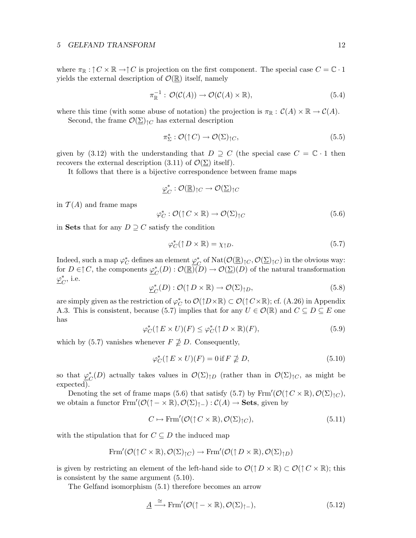#### 5 GELFAND TRANSFORM 12

where  $\pi_{\mathbb{R}} : \uparrow C \times \mathbb{R} \to \uparrow C$  is projection on the first component. The special case  $C = \mathbb{C} \cdot 1$ yields the external description of  $\mathcal{O}(\mathbb{R})$  itself, namely

$$
\pi_{\mathbb{R}}^{-1} : \mathcal{O}(\mathcal{C}(A)) \to \mathcal{O}(\mathcal{C}(A) \times \mathbb{R}), \tag{5.4}
$$

where this time (with some abuse of notation) the projection is  $\pi_{\mathbb{R}} : C(A) \times \mathbb{R} \to C(A)$ . Second, the frame  $\mathcal{O}(\Sigma)_{\dagger C}$  has external description

$$
\pi_{\Sigma}^* : \mathcal{O}(\uparrow C) \to \mathcal{O}(\Sigma)_{\uparrow C},\tag{5.5}
$$

given by (3.12) with the understanding that  $D \supseteq C$  (the special case  $C = \mathbb{C} \cdot 1$  then recovers the external description  $(3.11)$  of  $\mathcal{O}(\Sigma)$  itself).

It follows that there is a bijective correspondence between frame maps

$$
\underline{\varphi}_C^*:\mathcal{O}(\underline{\mathbb{R}})_{\uparrow C}\to\mathcal{O}(\underline{\Sigma})_{\uparrow C}
$$

in  $\mathcal{T}(A)$  and frame maps

$$
\varphi_C^* : \mathcal{O}(\uparrow C \times \mathbb{R}) \to \mathcal{O}(\Sigma)_{\uparrow C} \tag{5.6}
$$

in Sets that for any  $D \supseteq C$  satisfy the condition

$$
\varphi_C^*(\uparrow D \times \mathbb{R}) = \chi_{\uparrow D}.\tag{5.7}
$$

Indeed, such a map  $\varphi_C^*$  defines an element  $\underline{\varphi}_C^*$ <sup>\*</sup><sub>c</sub> of Nat $(\mathcal{O}(\underline{\mathbb{R}})_{\uparrow C}, \mathcal{O}(\underline{\Sigma})_{\uparrow C})$  in the obvious way: for  $D \in \uparrow C$ , the components  $\varphi_c^*$  $C^*(D) : \mathcal{O}(\underline{\mathbb{R}})(D) \to \mathcal{O}(\underline{\Sigma})(D)$  of the natural transformation  $\varphi^*_{\epsilon}$  $_C^*$ , i.e.

$$
\underline{\varphi}_C^*(D) : \mathcal{O}(\uparrow D \times \mathbb{R}) \to \mathcal{O}(\Sigma)_{\uparrow D},\tag{5.8}
$$

are simply given as the restriction of  $\varphi_C^*$  to  $\mathcal{O}(\uparrow D\times\mathbb{R})\subset\mathcal{O}(\uparrow C\times\mathbb{R})$ ; cf. (A.26) in Appendix A.3. This is consistent, because (5.7) implies that for any  $U \in \mathcal{O}(\mathbb{R})$  and  $C \subseteq D \subseteq E$  one has

$$
\varphi_C^*(\uparrow E \times U)(F) \le \varphi_C^*(\uparrow D \times \mathbb{R})(F),\tag{5.9}
$$

which by (5.7) vanishes whenever  $F \not\supseteq D$ . Consequently,

$$
\varphi_C^*(\uparrow E \times U)(F) = 0 \text{ if } F \not\supseteq D,\tag{5.10}
$$

so that  $\varphi^*_{\epsilon}$  $C^*(D)$  actually takes values in  $\mathcal{O}(\Sigma)_{\uparrow D}$  (rather than in  $\mathcal{O}(\Sigma)_{\uparrow C}$ , as might be expected).

Denoting the set of frame maps (5.6) that satisfy (5.7) by  $\text{Frm}'(\mathcal{O}(\uparrow C \times \mathbb{R}), \mathcal{O}(\Sigma)_{\uparrow C}),$ we obtain a functor  $\text{Frm}'(\mathcal{O}(\uparrow - \times \mathbb{R}), \mathcal{O}(\Sigma)_{\uparrow -}) : \mathcal{C}(A) \to \textbf{Sets}$ , given by

$$
C \mapsto \operatorname{Frm}'(\mathcal{O}(\uparrow C \times \mathbb{R}), \mathcal{O}(\Sigma)_{\uparrow C}), \tag{5.11}
$$

with the stipulation that for  $C \subseteq D$  the induced map

$$
Frm'(\mathcal{O}(\uparrow C \times \mathbb{R}), \mathcal{O}(\Sigma)_{\uparrow C}) \to Frm'(\mathcal{O}(\uparrow D \times \mathbb{R}), \mathcal{O}(\Sigma)_{\uparrow D})
$$

is given by restricting an element of the left-hand side to  $\mathcal{O}(\uparrow D \times \mathbb{R}) \subset \mathcal{O}(\uparrow C \times \mathbb{R})$ ; this is consistent by the same argument (5.10).

The Gelfand isomorphism (5.1) therefore becomes an arrow

$$
\underline{A} \xrightarrow{\cong} \text{Frm}'(\mathcal{O}(\uparrow - \times \mathbb{R}), \mathcal{O}(\Sigma)_{\uparrow -}), \tag{5.12}
$$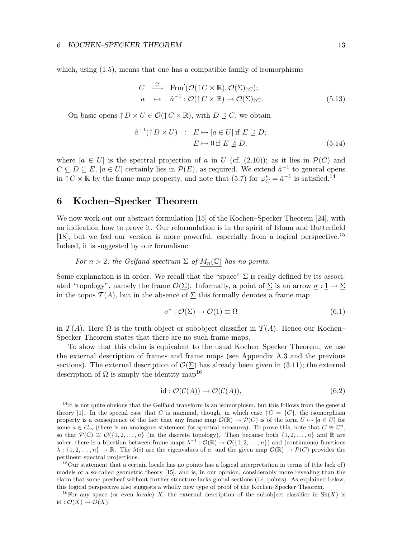which, using  $(1.5)$ , means that one has a compatible family of isomorphisms

$$
C \stackrel{\cong}{\longrightarrow} \text{Frm}'(\mathcal{O}(\uparrow C \times \mathbb{R}), \mathcal{O}(\Sigma)_{\uparrow C});
$$
  
\n
$$
a \mapsto \hat{a}^{-1} : \mathcal{O}(\uparrow C \times \mathbb{R}) \to \mathcal{O}(\Sigma)_{\uparrow C}.
$$
 (5.13)

On basic opens  $\uparrow D \times U \in \mathcal{O}(\uparrow C \times \mathbb{R})$ , with  $D \supseteq C$ , we obtain

$$
\hat{a}^{-1}(\uparrow D \times U) : E \mapsto [a \in U] \text{ if } E \supseteq D; E \mapsto 0 \text{ if } E \nsubseteq D,
$$
\n(5.14)

where  $[a \in U]$  is the spectral projection of a in U (cf. (2.10)); as it lies in  $\mathcal{P}(C)$  and  $C \subseteq D \subseteq E$ ,  $[a \in U]$  certainly lies in  $\mathcal{P}(E)$ , as required. We extend  $\hat{a}^{-1}$  to general opens in  $\uparrow C \times \mathbb{R}$  by the frame map property, and note that (5.7) for  $\varphi_C^* = \hat{a}^{-1}$  is satisfied.<sup>14</sup>

## 6 Kochen–Specker Theorem

We now work out our abstract formulation [15] of the Kochen–Specker Theorem [24], with an indication how to prove it. Our reformulation is in the spirit of Isham and Butterfield [18], but we feel our version is more powerful, especially from a logical perspective.<sup>15</sup> Indeed, it is suggested by our formalism:

For  $n > 2$ , the Gelfand spectrum  $\Sigma$  of  $M_n(\mathbb{C})$  has no points.

Some explanation is in order. We recall that the "space"  $\Sigma$  is really defined by its associated "topology", namely the frame  $\mathcal{O}(\Sigma)$ . Informally, a point of  $\Sigma$  is an arrow  $\sigma: \mathbb{1} \to \Sigma$ in the topos  $\mathcal{T}(A)$ , but in the absence of  $\Sigma$  this formally denotes a frame map

$$
\underline{\sigma}^* : \mathcal{O}(\underline{\Sigma}) \to \mathcal{O}(\underline{1}) \equiv \underline{\Omega} \tag{6.1}
$$

in  $\mathcal{T}(A)$ . Here  $\Omega$  is the truth object or subobject classifier in  $\mathcal{T}(A)$ . Hence our Kochen– Specker Theorem states that there are no such frame maps.

To show that this claim is equivalent to the usual Kochen–Specker Theorem, we use the external description of frames and frame maps (see Appendix A.3 and the previous sections). The external description of  $\mathcal{O}(\Sigma)$  has already been given in (3.11); the external description of  $\Omega$  is simply the identity map<sup>16</sup>

$$
id: \mathcal{O}(\mathcal{C}(A)) \to \mathcal{O}(\mathcal{C}(A)), \tag{6.2}
$$

 $14$ It is not quite obvious that the Gelfand transform is an isomorphism, but this follows from the general theory [1]. In the special case that C is maximal, though, in which case  $\uparrow C = \{C\}$ , the isomorphism property is a consequence of the fact that any frame map  $\mathcal{O}(\mathbb{R}) \to \mathcal{P}(C)$  is of the form  $U \mapsto [a \in U]$  for some  $a \in C_{sa}$  (there is an analogous statement for spectral measures). To prove this, note that  $C \cong \mathbb{C}^n$ , so that  $\mathcal{P}(\mathbb{C}) \cong \mathcal{O}(\{1, 2, \ldots, n\})$  (in the discrete topology). Then because both  $\{1, 2, \ldots, n\}$  and R are sober, there is a bijection between frame maps  $\lambda^{-1} : \mathcal{O}(\mathbb{R}) \to \mathcal{O}(\{1, 2, ..., n\})$  and (continuous) functions  $\lambda : \{1, 2, \ldots, n\} \to \mathbb{R}$ . The  $\lambda(i)$  are the eigenvalues of a, and the given map  $\mathcal{O}(\mathbb{R}) \to \mathcal{P}(C)$  provides the pertinent spectral projections.

<sup>&</sup>lt;sup>15</sup>Our statement that a certain locale has no points has a logical interpretation in terms of (the lack of) models of a so-called geometric theory [15], and is, in our opinion, considerably more revealing than the claim that some presheaf without further structure lacks global sections (i.e. points). As explained below, this logical perspective also suggests a wholly new type of proof of the Kochen–Specker Theorem.

<sup>&</sup>lt;sup>16</sup>For any space (or even locale) X, the external description of the subobject classifier in Sh(X) is id :  $\mathcal{O}(X) \to \mathcal{O}(X)$ .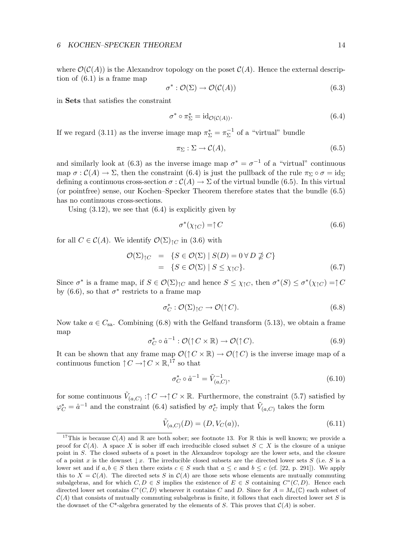where  $\mathcal{O}(\mathcal{C}(A))$  is the Alexandrov topology on the poset  $\mathcal{C}(A)$ . Hence the external description of (6.1) is a frame map

$$
\sigma^* : \mathcal{O}(\Sigma) \to \mathcal{O}(\mathcal{C}(A)) \tag{6.3}
$$

in Sets that satisfies the constraint

$$
\sigma^* \circ \pi_{\Sigma}^* = \mathrm{id}_{\mathcal{O}(\mathcal{C}(A))}.\tag{6.4}
$$

If we regard (3.11) as the inverse image map  $\pi_{\Sigma}^* = \pi_{\Sigma}^{-1}$  $\overline{\Sigma}^1$  of a "virtual" bundle

$$
\pi_{\Sigma} : \Sigma \to \mathcal{C}(A), \tag{6.5}
$$

and similarly look at (6.3) as the inverse image map  $\sigma^* = \sigma^{-1}$  of a "virtual" continuous map  $\sigma : \mathcal{C}(A) \to \Sigma$ , then the constraint (6.4) is just the pullback of the rule  $\pi_{\Sigma} \circ \sigma = id_{\Sigma}$ defining a continuous cross-section  $\sigma : \mathcal{C}(A) \to \Sigma$  of the virtual bundle (6.5). In this virtual (or pointfree) sense, our Kochen–Specker Theorem therefore states that the bundle (6.5) has no continuous cross-sections.

Using  $(3.12)$ , we see that  $(6.4)$  is explicitly given by

$$
\sigma^*(\chi_{\uparrow C}) = \uparrow C \tag{6.6}
$$

for all  $C \in \mathcal{C}(A)$ . We identify  $\mathcal{O}(\Sigma)_{\uparrow C}$  in (3.6) with

$$
\mathcal{O}(\Sigma)_{\uparrow C} = \{ S \in \mathcal{O}(\Sigma) \mid S(D) = 0 \,\forall D \not\supseteq C \}
$$
  
= 
$$
\{ S \in \mathcal{O}(\Sigma) \mid S \leq \chi_{\uparrow C} \}. \tag{6.7}
$$

Since  $\sigma^*$  is a frame map, if  $S \in \mathcal{O}(\Sigma)_{\uparrow C}$  and hence  $S \leq \chi_{\uparrow C}$ , then  $\sigma^*(S) \leq \sigma^*(\chi_{\uparrow C}) = \uparrow C$ by (6.6), so that  $\sigma^*$  restricts to a frame map

$$
\sigma_C^* : \mathcal{O}(\Sigma)_{\uparrow C} \to \mathcal{O}(\uparrow C). \tag{6.8}
$$

Now take  $a \in C_{sa}$ . Combining (6.8) with the Gelfand transform (5.13), we obtain a frame map

$$
\sigma_C^* \circ \hat{a}^{-1} : \mathcal{O}(\uparrow C \times \mathbb{R}) \to \mathcal{O}(\uparrow C). \tag{6.9}
$$

It can be shown that any frame map  $\mathcal{O}(\uparrow C \times \mathbb{R}) \to \mathcal{O}(\uparrow C)$  is the inverse image map of a continuous function  $\uparrow C \to \uparrow C \times \mathbb{R}$ ,<sup>17</sup> so that

$$
\sigma_C^* \circ \hat{a}^{-1} = \tilde{V}_{(a,C)}^{-1},\tag{6.10}
$$

for some continuous  $\tilde{V}_{(a,C)}$ : $\uparrow$   $C \to \uparrow C \times \mathbb{R}$ . Furthermore, the constraint (5.7) satisfied by  $\varphi_C^* = \hat{a}^{-1}$  and the constraint (6.4) satisfied by  $\sigma_C^*$  imply that  $\tilde{V}_{(a,C)}$  takes the form

$$
\tilde{V}_{(a,C)}(D) = (D, V_C(a)),\tag{6.11}
$$

<sup>&</sup>lt;sup>17</sup>This is because  $C(A)$  and R are both sober; see footnote 13. For R this is well known; we provide a proof for  $\mathcal{C}(A)$ . A space X is sober iff each irreducible closed subset  $S \subset X$  is the closure of a unique point in S. The closed subsets of a poset in the Alexandrov topology are the lower sets, and the closure of a point x is the downset  $\downarrow x$ . The irreducible closed subsets are the directed lower sets S (i.e. S is a lower set and if  $a, b \in S$  then there exists  $c \in S$  such that  $a \leq c$  and  $b \leq c$  (cf. [22, p. 291]). We apply this to  $X = \mathcal{C}(A)$ . The directed sets S in  $\mathcal{C}(A)$  are those sets whose elements are mutually commuting subalgebras, and for which  $C, D \in S$  implies the existence of  $E \in S$  containing  $C^*(C, D)$ . Hence each directed lower set contains  $C^*(C, D)$  whenever it contains C and D. Since for  $A = M_n(\mathbb{C})$  each subset of  $C(A)$  that consists of mutually commuting subalgebras is finite, it follows that each directed lower set S is the downset of the C\*-algebra generated by the elements of S. This proves that  $\mathcal{C}(A)$  is sober.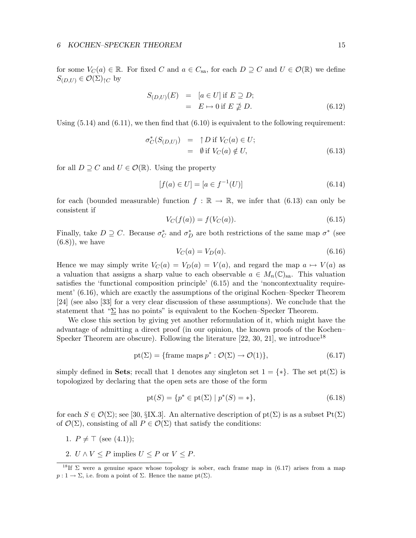for some  $V_C(a) \in \mathbb{R}$ . For fixed C and  $a \in C_{sa}$ , for each  $D \supseteq C$  and  $U \in \mathcal{O}(\mathbb{R})$  we define  $S_{(D,U)} \in \mathcal{O}(\Sigma)_{\uparrow C}$  by

$$
S_{(D,U)}(E) = [a \in U] \text{ if } E \supseteq D; = E \mapsto 0 \text{ if } E \nsubseteq D.
$$
 (6.12)

Using  $(5.14)$  and  $(6.11)$ , we then find that  $(6.10)$  is equivalent to the following requirement:

$$
\sigma_C^*(S_{(D,U)}) = \uparrow D \text{ if } V_C(a) \in U; \n= \emptyset \text{ if } V_C(a) \notin U,
$$
\n(6.13)

for all  $D \supseteq C$  and  $U \in \mathcal{O}(\mathbb{R})$ . Using the property

$$
[f(a) \in U] = [a \in f^{-1}(U)] \tag{6.14}
$$

for each (bounded measurable) function  $f : \mathbb{R} \to \mathbb{R}$ , we infer that (6.13) can only be consistent if

$$
V_C(f(a)) = f(V_C(a)).
$$
\n(6.15)

Finally, take  $D \supseteq C$ . Because  $\sigma_C^*$  and  $\sigma_D^*$  are both restrictions of the same map  $\sigma^*$  (see  $(6.8)$ , we have

$$
V_C(a) = V_D(a). \tag{6.16}
$$

Hence we may simply write  $V_C(a) = V_D(a) = V(a)$ , and regard the map  $a \mapsto V(a)$  as a valuation that assigns a sharp value to each observable  $a \in M_n(\mathbb{C})_{\text{sa}}$ . This valuation satisfies the 'functional composition principle' (6.15) and the 'noncontextuality requirement' (6.16), which are exactly the assumptions of the original Kochen–Specker Theorem [24] (see also [33] for a very clear discussion of these assumptions). We conclude that the statement that " $\Sigma$  has no points" is equivalent to the Kochen–Specker Theorem.

We close this section by giving yet another reformulation of it, which might have the advantage of admitting a direct proof (in our opinion, the known proofs of the Kochen– Specker Theorem are obscure). Following the literature [22, 30, 21], we introduce<sup>18</sup>

$$
pt(\Sigma) = \{frame \text{ maps } p^* : \mathcal{O}(\Sigma) \to \mathcal{O}(1) \},\tag{6.17}
$$

simply defined in Sets; recall that 1 denotes any singleton set  $1 = \{*\}$ . The set pt( $\Sigma$ ) is topologized by declaring that the open sets are those of the form

$$
pt(S) = \{p^* \in pt(\Sigma) \mid p^*(S) = *\},\tag{6.18}
$$

for each  $S \in \mathcal{O}(\Sigma)$ ; see [30, §IX.3]. An alternative description of pt $(\Sigma)$  is as a subset Pt $(\Sigma)$ of  $\mathcal{O}(\Sigma)$ , consisting of all  $P \in \mathcal{O}(\Sigma)$  that satisfy the conditions:

- 1.  $P \neq \top$  (see (4.1));
- 2.  $U \wedge V \leq P$  implies  $U \leq P$  or  $V \leq P$ .

<sup>&</sup>lt;sup>18</sup>If  $\Sigma$  were a genuine space whose topology is sober, each frame map in (6.17) arises from a map  $p: 1 \to \Sigma$ , i.e. from a point of  $\Sigma$ . Hence the name pt( $\Sigma$ ).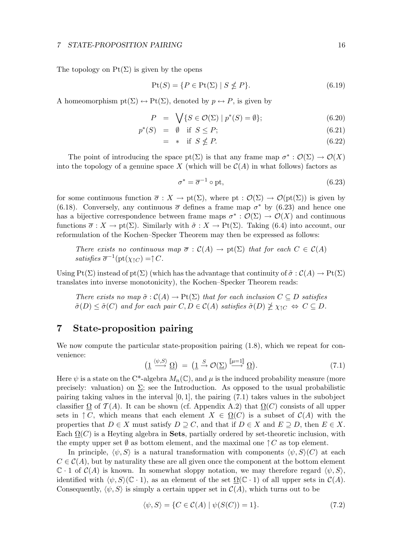#### 7 STATE-PROPOSITION PAIRING 16

The topology on  $Pt(\Sigma)$  is given by the opens

$$
Pt(S) = \{ P \in Pt(\Sigma) \mid S \nleq P \}. \tag{6.19}
$$

A homeomorphism  $pt(\Sigma) \leftrightarrow Pt(\Sigma)$ , denoted by  $p \leftrightarrow P$ , is given by

$$
P = \sqrt{S \in \mathcal{O}(\Sigma) \mid p^*(S) = \emptyset};\tag{6.20}
$$

$$
p^*(S) = \emptyset \quad \text{if } S \le P; \tag{6.21}
$$

$$
= * if S \nleq P. \tag{6.22}
$$

The point of introducing the space pt( $\Sigma$ ) is that any frame map  $\sigma^* : \mathcal{O}(\Sigma) \to \mathcal{O}(X)$ into the topology of a genuine space X (which will be  $\mathcal{C}(A)$  in what follows) factors as

$$
\sigma^* = \overline{\sigma}^{-1} \circ pt,\tag{6.23}
$$

for some continuous function  $\overline{\sigma}: X \to \text{pt}(\Sigma)$ , where  $\text{pt}: \mathcal{O}(\Sigma) \to \mathcal{O}(\text{pt}(\Sigma))$  is given by (6.18). Conversely, any continuous  $\bar{\sigma}$  defines a frame map  $\sigma^*$  by (6.23) and hence one has a bijective correspondence between frame maps  $\sigma^* : \mathcal{O}(\Sigma) \to \mathcal{O}(X)$  and continuous functions  $\overline{\sigma}: X \to \text{pt}(\Sigma)$ . Similarly with  $\tilde{\sigma}: X \to \text{Pt}(\Sigma)$ . Taking (6.4) into account, our reformulation of the Kochen–Specker Theorem may then be expressed as follows:

There exists no continuous map  $\overline{\sigma}: \mathcal{C}(A) \to \text{pt}(\Sigma)$  that for each  $C \in \mathcal{C}(A)$ satisfies  $\overline{\sigma}^{-1}(\text{pt}(\chi_{\uparrow}C)) = \uparrow C$ .

Using Pt( $\Sigma$ ) instead of pt( $\Sigma$ ) (which has the advantage that continuity of  $\tilde{\sigma} : C(A) \to \text{Pt}(\Sigma)$ translates into inverse monotonicity), the Kochen–Specker Theorem reads:

There exists no map  $\tilde{\sigma} : C(A) \to \text{Pt}(\Sigma)$  that for each inclusion  $C \subseteq D$  satisfies  $\tilde{\sigma}(D) \leq \tilde{\sigma}(C)$  and for each pair  $C, D \in \mathcal{C}(A)$  satisfies  $\tilde{\sigma}(D) \ngeq \chi_{\uparrow C} \Leftrightarrow C \subseteq D$ .

## 7 State-proposition pairing

We now compute the particular state-proposition pairing (1.8), which we repeat for convenience:

$$
\left(\underline{1} \xrightarrow{\langle \psi, S \rangle} \underline{\Omega}\right) = \left(\underline{1} \xrightarrow{S} \mathcal{O}(\underline{\Sigma}) \xrightarrow{\llbracket \mu = 1 \rrbracket} \underline{\Omega}\right). \tag{7.1}
$$

Here  $\psi$  is a state on the C<sup>\*</sup>-algebra  $M_n(\mathbb{C})$ , and  $\mu$  is the induced probability measure (more precisely: valuation) on  $\Sigma$ ; see the Introduction. As opposed to the usual probabilistic pairing taking values in the interval  $[0, 1]$ , the pairing  $(7.1)$  takes values in the subobject classifier  $\Omega$  of  $\mathcal{T}(A)$ . It can be shown (cf. Appendix A.2) that  $\Omega(C)$  consists of all upper sets in  $\uparrow C$ , which means that each element  $X \in \Omega(C)$  is a subset of  $\mathcal{C}(A)$  with the properties that  $D \in X$  must satisfy  $D \supseteq C$ , and that if  $D \in X$  and  $E \supseteq D$ , then  $E \in X$ . Each  $\Omega(C)$  is a Heyting algebra in Sets, partially ordered by set-theoretic inclusion, with the empty upper set  $\emptyset$  as bottom element, and the maximal one  $\uparrow C$  as top element.

In principle,  $\langle \psi, S \rangle$  is a natural transformation with components  $\langle \psi, S \rangle$  at each  $C \in \mathcal{C}(A)$ , but by naturality these are all given once the component at the bottom element  $\mathbb{C} \cdot 1$  of  $\mathcal{C}(A)$  is known. In somewhat sloppy notation, we may therefore regard  $\langle \psi, S \rangle$ , identified with  $\langle \psi, S \rangle (\mathbb{C} \cdot 1)$ , as an element of the set  $\Omega(\mathbb{C} \cdot 1)$  of all upper sets in  $\mathcal{C}(A)$ . Consequently,  $\langle \psi, S \rangle$  is simply a certain upper set in  $C(A)$ , which turns out to be

$$
\langle \psi, S \rangle = \{ C \in \mathcal{C}(A) \mid \psi(S(C)) = 1 \}. \tag{7.2}
$$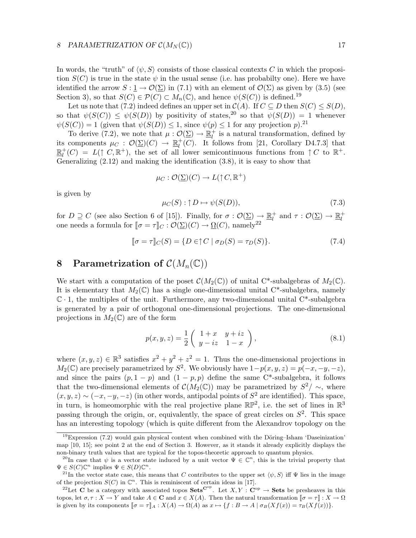In words, the "truth" of  $\langle \psi, S \rangle$  consists of those classical contexts C in which the proposition  $S(C)$  is true in the state  $\psi$  in the usual sense (i.e. has probabilty one). Here we have identified the arrow  $S: 1 \to \mathcal{O}(\Sigma)$  in (7.1) with an element of  $\mathcal{O}(\Sigma)$  as given by (3.5) (see Section 3), so that  $S(C) \in \mathcal{P}(C) \subset M_n(\mathbb{C})$ , and hence  $\psi(S(C))$  is defined.<sup>19</sup>

Let us note that (7.2) indeed defines an upper set in  $C(A)$ . If  $C \subseteq D$  then  $S(C) \leq S(D)$ , so that  $\psi(S(C)) \leq \psi(S(D))$  by positivity of states,<sup>20</sup> so that  $\psi(S(D)) = 1$  whenever  $\psi(S(C)) = 1$  (given that  $\psi(S(D)) \leq 1$ , since  $\psi(p) \leq 1$  for any projection p).<sup>21</sup>

To derive (7.2), we note that  $\mu : \mathcal{O}(\Sigma) \to \mathbb{R}^+_l$  $\mu$ <sup>+</sup> is a natural transformation, defined by its components  $\mu_C : \mathcal{O}(\Sigma)(C) \to \mathbb{R}^+_l$  $\mathcal{L}_l^+(C)$ . It follows from [21, Corollary D4.7.3] that  $\mathbb{R}^+$  $\mu^+(C) = L(\uparrow C, \mathbb{R}^+)$ , the set of all lower semicontinuous functions from  $\uparrow C$  to  $\mathbb{R}^+$ . Generalizing  $(2.12)$  and making the identification  $(3.8)$ , it is easy to show that

$$
\mu_C : \mathcal{O}(\underline{\Sigma})(C) \to L(\uparrow C, \mathbb{R}^+)
$$

is given by

$$
\mu_C(S) : \uparrow D \mapsto \psi(S(D)),\tag{7.3}
$$

for  $D \supseteq C$  (see also Section 6 of [15]). Finally, for  $\sigma : \mathcal{O}(\Sigma) \to \mathbb{R}^+_l$ <sup>+</sup> and  $\tau : \mathcal{O}(\Sigma) \to \mathbb{R}_l^+$ one needs a formula for  $[\![\sigma = \tau]\!]_C : \mathcal{O}(\underline{\Sigma})(C) \to \underline{\Omega}(C)$ , namely<sup>22</sup><br>one needs a formula for  $[\![\sigma = \tau]\!]_C : \mathcal{O}(\underline{\Sigma})(C) \to \underline{\Omega}(C)$ , namely<sup>22</sup>

$$
\llbracket \sigma = \tau \rrbracket_C(S) = \{ D \in \uparrow C \mid \sigma_D(S) = \tau_D(S) \}. \tag{7.4}
$$

## 8 Parametrization of  $\mathcal{C}(M_n(\mathbb{C}))$

We start with a computation of the poset  $\mathcal{C}(M_2(\mathbb{C}))$  of unital C\*-subalgebras of  $M_2(\mathbb{C})$ . It is elementary that  $M_2(\mathbb{C})$  has a single one-dimensional unital C<sup>\*</sup>-subalgebra, namely  $\mathbb{C} \cdot 1$ , the multiples of the unit. Furthermore, any two-dimensional unital  $C^*$ -subalgebra is generated by a pair of orthogonal one-dimensional projections. The one-dimensional projections in  $M_2(\mathbb{C})$  are of the form

$$
p(x, y, z) = \frac{1}{2} \begin{pmatrix} 1+x & y+iz \\ y-iz & 1-x \end{pmatrix},
$$
 (8.1)

where  $(x, y, z) \in \mathbb{R}^3$  satisfies  $x^2 + y^2 + z^2 = 1$ . Thus the one-dimensional projections in  $M_2(\mathbb{C})$  are precisely parametrized by  $S^2$ . We obviously have  $1-p(x, y, z) = p(-x, -y, -z)$ , and since the pairs  $(p, 1 - p)$  and  $(1 - p, p)$  define the same C<sup>\*</sup>-subalgebra, it follows that the two-dimensional elements of  $\mathcal{C}(M_2(\mathbb{C}))$  may be parametrized by  $S^2/\sim$ , where  $(x, y, z) \sim (-x, -y, -z)$  (in other words, antipodal points of  $S<sup>2</sup>$  are identified). This space, in turn, is homeomorphic with the real projective plane  $\mathbb{RP}^2$ , i.e. the set of lines in  $\mathbb{R}^3$ passing through the origin, or, equivalently, the space of great circles on  $S^2$ . This space has an interesting topology (which is quite different from the Alexandrov topology on the

 $19$ Expression (7.2) would gain physical content when combined with the Döring–Isham 'Daseinization' map [10, 15]; see point 2 at the end of Section 3. However, as it stands it already explicitly displays the non-binary truth values that are typical for the topos-theoretic approach to quantum physics.

<sup>&</sup>lt;sup>20</sup>In case that  $\psi$  is a vector state induced by a unit vector  $\Psi \in \mathbb{C}^n$ , this is the trivial property that  $\Psi \in S(C)\mathbb{C}^n$  implies  $\Psi \in S(D)\mathbb{C}^n$ .

<sup>&</sup>lt;sup>21</sup>In the vector state case, this means that C contributes to the upper set  $\langle \psi, S \rangle$  iff  $\Psi$  lies in the image of the projection  $S(C)$  in  $\mathbb{C}^n$ . This is reminiscent of certain ideas in [17].

<sup>&</sup>lt;sup>22</sup>Let **C** be a category with associated topos Sets<sup>Cop</sup>. Let  $X, Y : \mathbf{C}^{op} \to \mathbf{Sets}$  be presheaves in this topos, let  $\sigma, \tau : X \to Y$  and take  $A \in \mathbf{C}$  and  $x \in X(A)$ . Then the natural transformation  $\llbracket \sigma = \tau \rrbracket : X \to \Omega$ is given by its components  $\llbracket \sigma = \tau \rrbracket_A : X(A) \to \Omega(A)$  as  $x \mapsto \{f : B \to A \mid \sigma_B(Xf(x)) = \tau_B(Xf(x))\}.$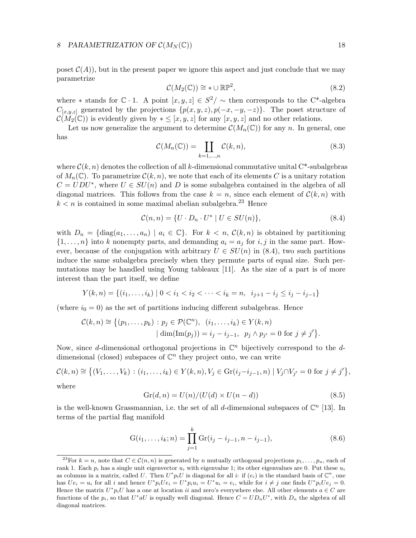#### 8 PARAMETRIZATION OF  $\mathcal{C}(M_N(\mathbb{C}))$  18

poset  $\mathcal{C}(A)$ , but in the present paper we ignore this aspect and just conclude that we may parametrize

$$
\mathcal{C}(M_2(\mathbb{C})) \cong * \cup \mathbb{RP}^2,\tag{8.2}
$$

where \* stands for  $\mathbb{C} \cdot 1$ . A point  $[x, y, z] \in S^2/\sim$  then corresponds to the C<sup>\*</sup>-algebra  $C_{[x,y,z]}$  generated by the projections  $\{p(x,y,z), p(-x,-y,-z)\}\$ . The poset structure of  $\mathcal{C}(M_2(\mathbb{C}))$  is evidently given by  $* \leq [x, y, z]$  for any  $[x, y, z]$  and no other relations.

Let us now generalize the argument to determine  $\mathcal{C}(M_n(\mathbb{C}))$  for any n. In general, one has

$$
\mathcal{C}(M_n(\mathbb{C})) = \coprod_{k=1,\dots,n} \mathcal{C}(k,n),\tag{8.3}
$$

where  $\mathcal{C}(k, n)$  denotes the collection of all k-dimensional commutative unital C<sup>\*</sup>-subalgebras of  $M_n(\mathbb{C})$ . To parametrize  $\mathcal{C}(k,n)$ , we note that each of its elements C is a unitary rotation  $C = UDU^*$ , where  $U \in SU(n)$  and D is some subalgebra contained in the algebra of all diagonal matrices. This follows from the case  $k = n$ , since each element of  $\mathcal{C}(k, n)$  with  $k < n$  is contained in some maximal abelian subalgebra.<sup>23</sup> Hence

$$
\mathcal{C}(n,n) = \{ U \cdot D_n \cdot U^* \mid U \in SU(n) \},\tag{8.4}
$$

with  $D_n = \{diag(a_1, \ldots, a_n) \mid a_i \in \mathbb{C}\}\$ . For  $k < n$ ,  $\mathcal{C}(k, n)$  is obtained by partitioning  $\{1, \ldots, n\}$  into k nonempty parts, and demanding  $a_i = a_j$  for i, j in the same part. However, because of the conjugation with arbitrary  $U \in SU(n)$  in (8.4), two such partitions induce the same subalgebra precisely when they permute parts of equal size. Such permutations may be handled using Young tableaux [11]. As the size of a part is of more interest than the part itself, we define

$$
Y(k,n) = \{(i_1, \ldots, i_k) \mid 0 < i_1 < i_2 < \cdots < i_k = n, \ i_{j+1} - i_j \leq i_j - i_{j-1}\}
$$

(where  $i_0 = 0$ ) as the set of partitions inducing different subalgebras. Hence

$$
\mathcal{C}(k,n) \cong \left\{ (p_1,\ldots,p_k) : p_j \in \mathcal{P}(\mathbb{C}^n), \ (i_1,\ldots,i_k) \in Y(k,n) \atop \left| \dim(\text{Im}(p_j)) = i_j - i_{j-1}, \ p_j \wedge p_{j'} = 0 \text{ for } j \neq j' \right. \right\}.
$$

Now, since d-dimensional orthogonal projections in  $\mathbb{C}^n$  bijectively correspond to the ddimensional (closed) subspaces of  $\mathbb{C}^n$  they project onto, we can write

$$
\mathcal{C}(k, n) \cong \left\{ (V_1, \dots, V_k) : (i_1, \dots, i_k) \in Y(k, n), V_j \in \text{Gr}(i_j - i_{j-1}, n) \mid V_j \cap V_{j'} = 0 \text{ for } j \neq j' \right\},\
$$
  
where

where

$$
Gr(d, n) = U(n)/(U(d) \times U(n-d))
$$
\n(8.5)

is the well-known Grassmannian, i.e. the set of all d-dimensional subspaces of  $\mathbb{C}^n$  [13]. In terms of the partial flag manifold

$$
G(i_1, ..., i_k; n) = \prod_{j=1}^k Gr(i_j - i_{j-1}, n - i_{j-1}),
$$
\n(8.6)

<sup>&</sup>lt;sup>23</sup>For  $k = n$ , note that  $C \in \mathcal{C}(n, n)$  is generated by n mutually orthogonal projections  $p_1, \ldots, p_n$ , each of rank 1. Each  $p_i$  has a single unit eigenvector  $u_i$  with eigenvalue 1; its other eigenvalues are 0. Put these  $u_i$ as columns in a matrix, called U. Then  $U^*p_iU$  is diagonal for all i: if  $(e_i)$  is the standard basis of  $\mathbb{C}^n$ , one has  $Ue_i = u_i$  for all i and hence  $U^*p_iUe_i = U^*p_iu_i = U^*u_i = e_i$ , while for  $i \neq j$  one finds  $U^*p_iUe_j = 0$ . Hence the matrix  $U^* p_i U$  has a one at location ii and zero's everywhere else. All other elements  $a \in C$  are functions of the  $p_i$ , so that  $U^*aU$  is equally well diagonal. Hence  $C = UD_nU^*$ , with  $D_n$  the algebra of all diagonal matrices.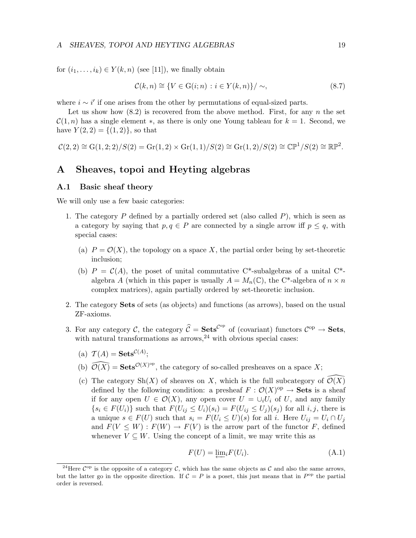for  $(i_1, \ldots, i_k) \in Y(k, n)$  (see [11]), we finally obtain

$$
\mathcal{C}(k,n) \cong \{ V \in \mathcal{G}(i;n) : i \in Y(k,n) \} / \sim,
$$
\n(8.7)

where  $i \sim i'$  if one arises from the other by permutations of equal-sized parts.

Let us show how  $(8.2)$  is recovered from the above method. First, for any n the set  $\mathcal{C}(1,n)$  has a single element \*, as there is only one Young tableau for  $k=1$ . Second, we have  $Y(2, 2) = \{(1, 2)\}\text{, so that}$ 

$$
\mathcal{C}(2,2) \cong G(1,2;2)/S(2) = Gr(1,2) \times Gr(1,1)/S(2) \cong Gr(1,2)/S(2) \cong \mathbb{CP}^1/S(2) \cong \mathbb{RP}^2.
$$

## A Sheaves, topoi and Heyting algebras

#### A.1 Basic sheaf theory

We will only use a few basic categories:

- 1. The category  $P$  defined by a partially ordered set (also called  $P$ ), which is seen as a category by saying that  $p, q \in P$  are connected by a single arrow iff  $p \leq q$ , with special cases:
	- (a)  $P = \mathcal{O}(X)$ , the topology on a space X, the partial order being by set-theoretic inclusion;
	- (b)  $P = C(A)$ , the poset of unital commutative C\*-subalgebras of a unital C\*algebra A (which in this paper is usually  $A = M_n(\mathbb{C})$ , the C<sup>\*</sup>-algebra of  $n \times n$ complex matrices), again partially ordered by set-theoretic inclusion.
- 2. The category Sets of sets (as objects) and functions (as arrows), based on the usual ZF-axioms.
- 3. For any category  $\hat{\mathcal{C}}$ , the category  $\hat{\mathcal{C}} = \mathbf{Sets}^{\mathcal{C}^{\mathrm{op}}}$  of (covariant) functors  $\mathcal{C}^{\mathrm{op}} \to \mathbf{Sets}$ , with natural transformations as  $\arrows$  as  $24$  with obvious special cases:
	- (a)  $\mathcal{T}(A) = \mathbf{Sets}^{\mathcal{C}(A)};$
	- (b)  $\widehat{\mathcal{O}(X)} = \mathbf{Sets}^{\mathcal{O}(X)^{op}}$ , the category of so-called presheaves on a space X;
	- (c) The category  $\mathrm{Sh}(X)$  of sheaves on X, which is the full subcategory of  $\mathcal{O}(X)$ defined by the following condition: a presheaf  $F : \mathcal{O}(X)^\text{op} \to \mathbf{Sets}$  is a sheaf if for any open  $U \in \mathcal{O}(X)$ , any open cover  $U = \bigcup_i U_i$  of U, and any family  $\{s_i \in F(U_i)\}\$  such that  $F(U_{ij} \leq U_i)(s_i) = F(U_{ij} \leq U_j)(s_j)$  for all  $i, j$ , there is a unique  $s \in F(U)$  such that  $s_i = F(U_i \leq U)(s)$  for all i. Here  $U_{ij} = U_i \cap U_j$ and  $F(V \leq W) : F(W) \to F(V)$  is the arrow part of the functor F, defined whenever  $V \subseteq W$ . Using the concept of a limit, we may write this as

$$
F(U) = \underleftarrow{\lim}_{i} F(U_i). \tag{A.1}
$$

<sup>&</sup>lt;sup>24</sup>Here  $\mathcal{C}^{\text{op}}$  is the opposite of a category  $\mathcal{C}$ , which has the same objects as  $\mathcal{C}$  and also the same arrows, but the latter go in the opposite direction. If  $C = P$  is a poset, this just means that in  $P^{\rm op}$  the partial order is reversed.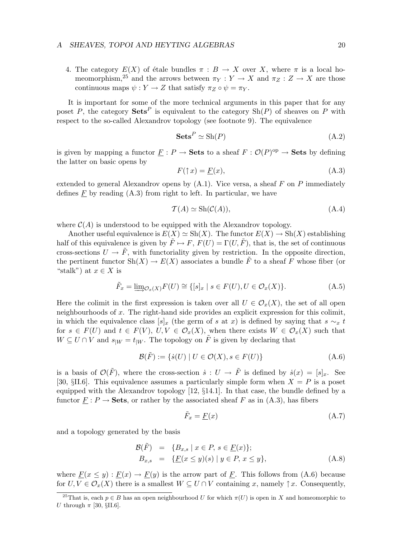4. The category  $E(X)$  of étale bundles  $\pi : B \to X$  over X, where  $\pi$  is a local homeomorphism,<sup>25</sup> and the arrows between  $\pi_Y : Y \to X$  and  $\pi_Z : Z \to X$  are those continuous maps  $\psi: Y \to Z$  that satisfy  $\pi_Z \circ \psi = \pi_Y$ .

It is important for some of the more technical arguments in this paper that for any poset P, the category  $\mathbf{Sets}^P$  is equivalent to the category  $\mathrm{Sh}(P)$  of sheaves on P with respect to the so-called Alexandrov topology (see footnote 9). The equivalence

$$
\mathbf{Sets}^P \simeq \mathrm{Sh}(P) \tag{A.2}
$$

is given by mapping a functor  $\underline{F}: P \to \mathbf{Sets}$  to a sheaf  $F: \mathcal{O}(P)^{op} \to \mathbf{Sets}$  by defining the latter on basic opens by

$$
F(\uparrow x) = \underline{F}(x),\tag{A.3}
$$

extended to general Alexandrov opens by  $(A.1)$ . Vice versa, a sheaf F on P immediately defines  $\underline{F}$  by reading  $(A.3)$  from right to left. In particular, we have

$$
\mathcal{T}(A) \simeq \text{Sh}(\mathcal{C}(A)),\tag{A.4}
$$

where  $\mathcal{C}(A)$  is understood to be equipped with the Alexandrov topology.

Another useful equivalence is  $E(X) \simeq Sh(X)$ . The functor  $E(X) \to Sh(X)$  establishing half of this equivalence is given by  $\tilde{F} \mapsto F$ ,  $F(U) = \Gamma(U, \tilde{F})$ , that is, the set of continuous cross-sections  $U \to \tilde{F}$ , with functoriality given by restriction. In the opposite direction, the pertinent functor  $\mathrm{Sh}(X) \to E(X)$  associates a bundle  $\tilde{F}$  to a sheaf F whose fiber (or "stalk") at  $x \in X$  is

$$
\tilde{F}_x = \underline{\lim}_{\mathcal{O}_x(X)} F(U) \cong \{ [s]_x \mid s \in F(U), U \in \mathcal{O}_x(X) \}. \tag{A.5}
$$

Here the colimit in the first expression is taken over all  $U \in \mathcal{O}_x(X)$ , the set of all open neighbourhoods of x. The right-hand side provides an explicit expression for this colimit, in which the equivalence class  $[s]_x$  (the germ of s at x) is defined by saying that s  $\sim_x t$ for  $s \in F(U)$  and  $t \in F(V)$ ,  $U, V \in \mathcal{O}_x(X)$ , when there exists  $W \in \mathcal{O}_x(X)$  such that  $W \subseteq U \cap V$  and  $s_{|W} = t_{|W}$ . The topology on  $\tilde{F}$  is given by declaring that

$$
\mathcal{B}(\tilde{F}) := \{ \dot{s}(U) \mid U \in \mathcal{O}(X), s \in F(U) \}
$$
\n(A.6)

is a basis of  $\mathcal{O}(\tilde{F})$ , where the cross-section  $\dot{s}: U \to \tilde{F}$  is defined by  $\dot{s}(x) = [s]_x$ . See [30,  $\S II.6$ ]. This equivalence assumes a particularly simple form when  $X = P$  is a poset equipped with the Alexandrov topology [12, §14.1]. In that case, the bundle defined by a functor  $F : P \to \mathbf{Sets}$ , or rather by the associated sheaf F as in (A.3), has fibers

$$
\tilde{F}_x = \underline{F}(x) \tag{A.7}
$$

and a topology generated by the basis

$$
\mathcal{B}(\tilde{F}) = \{B_{x,s} \mid x \in P, s \in \underline{F}(x)\};
$$
  
\n
$$
B_{x,s} = \{\underline{F}(x \le y)(s) \mid y \in P, x \le y\},
$$
\n(A.8)

where  $\underline{F}(x \le y) : \underline{F}(x) \to \underline{F}(y)$  is the arrow part of  $\underline{F}$ . This follows from (A.6) because for  $U, V \in \mathcal{O}_x(X)$  there is a smallest  $W \subseteq U \cap V$  containing x, namely  $\uparrow x$ . Consequently,

<sup>&</sup>lt;sup>25</sup>That is, each  $p \in B$  has an open neighbourhood U for which  $\pi(U)$  is open in X and homeomorphic to U through  $\pi$  [30, §II.6].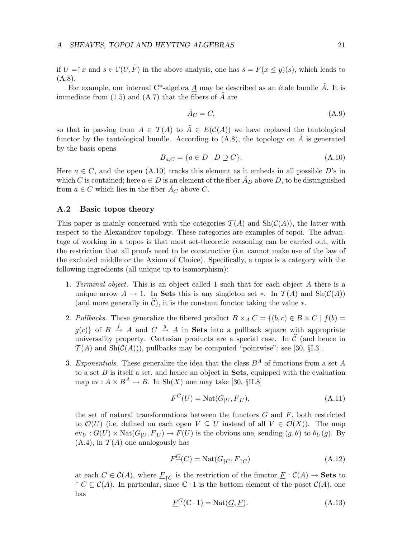if  $U = \uparrow x$  and  $s \in \Gamma(U, \tilde{F})$  in the above analysis, one has  $\dot{s} = \underline{F}(x \leq y)(s)$ , which leads to  $(A.8).$ 

For example, our internal  $C^*$ -algebra A may be described as an étale bundle A. It is immediate from  $(1.5)$  and  $(A.7)$  that the fibers of  $\overline{A}$  are

$$
\tilde{A}_C = C,\tag{A.9}
$$

so that in passing from  $A \in \mathcal{T}(A)$  to  $\tilde{A} \in E(\mathcal{C}(A))$  we have replaced the tautological functor by the tautological bundle. According to  $(A.8)$ , the topology on  $\tilde{A}$  is generated by the basis opens

$$
B_{a,C} = \{a \in D \mid D \supseteq C\}.\tag{A.10}
$$

Here  $a \in C$ , and the open (A.10) tracks this element as it embeds in all possible D's in which C is contained; here  $a \in D$  is an element of the fiber  $\tilde{A}_D$  above D, to be distinguished from  $a \in C$  which lies in the fiber  $A_C$  above C.

#### A.2 Basic topos theory

This paper is mainly concerned with the categories  $\mathcal{T}(A)$  and  $\text{Sh}(\mathcal{C}(A))$ , the latter with respect to the Alexandrov topology. These categories are examples of topoi. The advantage of working in a topos is that most set-theoretic reasoning can be carried out, with the restriction that all proofs need to be constructive (i.e. cannot make use of the law of the excluded middle or the Axiom of Choice). Specifically, a topos is a category with the following ingredients (all unique up to isomorphism):

- 1. Terminal object. This is an object called 1 such that for each object A there is a unique arrow  $A \to 1$ . In Sets this is any singleton set  $\ast$ . In  $\mathcal{T}(A)$  and  $\text{Sh}(\mathcal{C}(A))$ (and more generally in  $\hat{\mathcal{C}}$ ), it is the constant functor taking the value  $*$ .
- 2. Pullbacks. These generalize the fibered product  $B \times_A C = \{(b, c) \in B \times C \mid f(b) =$  $g(c)$  of  $B \stackrel{f}{\rightarrow} A$  and  $C \stackrel{g}{\rightarrow} A$  in **Sets** into a pullback square with appropriate universality property. Cartesian products are a special case. In  $\hat{C}$  (and hence in  $\mathcal{T}(A)$  and  $\text{Sh}(\mathcal{C}(A)))$ , pullbacks may be computed "pointwise"; see [30, §I.3].
- 3. Exponentials. These generalize the idea that the class  $B^A$  of functions from a set A to a set  $B$  is itself a set, and hence an object in **Sets**, equipped with the evaluation map ev :  $A \times B^A \rightarrow B$ . In Sh(X) one may take [30, §II.8]

$$
F^{G}(U) = \text{Nat}(G_{|U}, F_{|U}),\tag{A.11}
$$

the set of natural transformations between the functors  $G$  and  $F$ , both restricted to  $\mathcal{O}(U)$  (i.e. defined on each open  $V \subseteq U$  instead of all  $V \in \mathcal{O}(X)$ ). The map  $ev_U : G(U) \times Nat(G_{|U}, F_{|U}) \rightarrow F(U)$  is the obvious one, sending  $(g, \theta)$  to  $\theta_U(g)$ . By  $(A.4)$ , in  $\mathcal{T}(A)$  one analogously has

$$
\underline{F}^{\underline{G}}(C) = \text{Nat}(\underline{G}_{\uparrow C}, \underline{F}_{\uparrow C})\tag{A.12}
$$

at each  $C \in \mathcal{C}(A)$ , where  $\underline{F}_{\uparrow C}$  is the restriction of the functor  $\underline{F} : \mathcal{C}(A) \to \mathbf{Sets}$  to  $\uparrow C \subseteq C(A)$ . In particular, since  $\mathbb{C} \cdot 1$  is the bottom element of the poset  $C(A)$ , one has

$$
\underline{F}^{\underline{G}}(\mathbb{C} \cdot 1) = \text{Nat}(\underline{G}, \underline{F}).\tag{A.13}
$$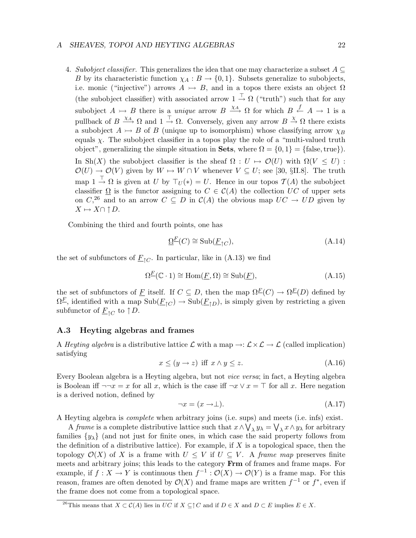4. Subobject classifier. This generalizes the idea that one may characterize a subset  $A \subseteq$ B by its characteristic function  $\chi_A : B \to \{0,1\}$ . Subsets generalize to subobjects, i.e. monic ("injective") arrows  $A \rightarrow B$ , and in a topos there exists an object  $\Omega$ (the subobject classifier) with associated arrow  $1 \stackrel{\top}{\rightarrow} \Omega$  ("truth") such that for any subobject  $A \rightarrowtail B$  there is a *unique* arrow  $B \xrightarrow{\chi_A} \Omega$  for which  $B \xleftarrow{f} A \rightarrow 1$  is a pullback of  $B \xrightarrow{\chi_A} \Omega$  and  $1 \xrightarrow{\top} \Omega$ . Conversely, given any arrow  $B \xrightarrow{\chi} \Omega$  there exists a subobject  $A \rightarrow B$  of B (unique up to isomorphism) whose classifying arrow  $\chi_B$ equals  $\chi$ . The subobject classifier in a topos play the role of a "multi-valued truth object", generalizing the simple situation in **Sets**, where  $\Omega = \{0, 1\} = \{\text{false}, \text{true}\}\.$ In Sh(X) the subobject classifier is the sheaf  $\Omega : U \mapsto \mathcal{O}(U)$  with  $\Omega(V \leq U)$ :  $\mathcal{O}(U) \to \mathcal{O}(V)$  given by  $W \mapsto W \cap V$  whenever  $V \subseteq U$ ; see [30, §II.8]. The truth map  $1 \stackrel{\top}{\rightarrow} \Omega$  is given at U by  $\top_U(*) = U$ . Hence in our topos  $\mathcal{T}(A)$  the subobject classifier  $\Omega$  is the functor assigning to  $C \in \mathcal{C}(A)$  the collection UC of upper sets on  $C<sup>26</sup>$  and to an arrow  $C \subseteq D$  in  $\mathcal{C}(A)$  the obvious map  $UC \rightarrow UD$  given by  $X \mapsto X \cap \uparrow D$ .

Combining the third and fourth points, one has

$$
\underline{\Omega}^{\underline{F}}(C) \cong \text{Sub}(\underline{F}_{\uparrow C}),\tag{A.14}
$$

the set of subfunctors of  $\underline{F}_{\uparrow C}$ . In particular, like in (A.13) we find

$$
\Omega^{\underline{F}}(\mathbb{C} \cdot 1) \cong \text{Hom}(\underline{F}, \Omega) \cong \text{Sub}(\underline{F}),\tag{A.15}
$$

the set of subfunctors of F itself. If  $C \subseteq D$ , then the map  $\Omega^E(C) \to \Omega^E(D)$  defined by  $\Omega^E$ , identified with a map  $\text{Sub}(\underline{F}_{\uparrow C}) \to \text{Sub}(\underline{F}_{\uparrow D})$ , is simply given by restricting a given subfunctor of  $\underline{F}_{\uparrow C}$  to  $\uparrow D$ .

#### A.3 Heyting algebras and frames

A Heyting algebra is a distributive lattice  $\mathcal L$  with a map  $\to : \mathcal L \times \mathcal L \to \mathcal L$  (called implication) satisfying

$$
x \le (y \to z) \text{ iff } x \wedge y \le z. \tag{A.16}
$$

Every Boolean algebra is a Heyting algebra, but not vice versa; in fact, a Heyting algebra is Boolean iff  $\neg\neg x = x$  for all x, which is the case iff  $\neg x \lor x = \top$  for all x. Here negation is a derived notion, defined by

$$
\neg x = (x \to \perp). \tag{A.17}
$$

A Heyting algebra is complete when arbitrary joins (i.e. sups) and meets (i.e. infs) exist.

A frame is a complete distributive lattice such that  $x \wedge \bigvee_{\lambda} y_{\lambda} = \bigvee_{\lambda} x \wedge y_{\lambda}$  for arbitrary families  $\{y_\lambda\}$  (and not just for finite ones, in which case the said property follows from the definition of a distributive lattice). For example, if  $X$  is a topological space, then the topology  $\mathcal{O}(X)$  of X is a frame with  $U \leq V$  if  $U \subseteq V$ . A frame map preserves finite meets and arbitrary joins; this leads to the category **Frm** of frames and frame maps. For example, if  $f: X \to Y$  is continuous then  $f^{-1}: \mathcal{O}(X) \to \mathcal{O}(Y)$  is a frame map. For this reason, frames are often denoted by  $\mathcal{O}(X)$  and frame maps are written  $f^{-1}$  or  $f^*$ , even if the frame does not come from a topological space.

<sup>&</sup>lt;sup>26</sup>This means that  $X \subset \mathcal{C}(A)$  lies in  $\overline{UC}$  if  $X \subseteq \uparrow C$  and if  $D \in X$  and  $D \subset E$  implies  $E \in X$ .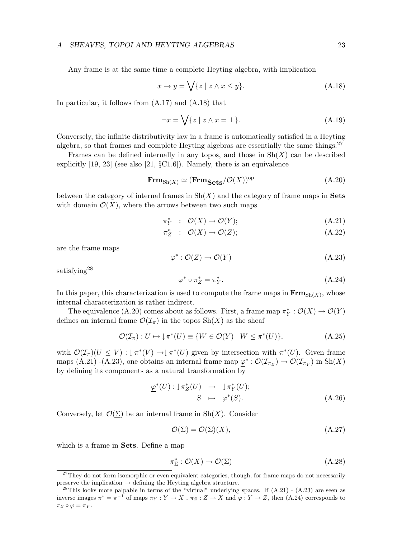Any frame is at the same time a complete Heyting algebra, with implication

$$
x \to y = \bigvee \{ z \mid z \wedge x \le y \}. \tag{A.18}
$$

In particular, it follows from (A.17) and (A.18) that

$$
\neg x = \bigvee \{ z \mid z \wedge x = \bot \}. \tag{A.19}
$$

Conversely, the infinite distributivity law in a frame is automatically satisfied in a Heyting algebra, so that frames and complete Heyting algebras are essentially the same things. $27$ 

Frames can be defined internally in any topos, and those in  $\text{Sh}(X)$  can be described explicitly  $[19, 23]$  (see also  $[21, \S\text{C}1.6]$ ). Namely, there is an equivalence

$$
\mathbf{Frm}_{\mathrm{Sh}(X)} \simeq (\mathbf{Frm}_{\mathbf{Sets}}/\mathcal{O}(X))^{\mathrm{op}} \tag{A.20}
$$

between the category of internal frames in  $\mathrm{Sh}(X)$  and the category of frame maps in **Sets** with domain  $\mathcal{O}(X)$ , where the arrows between two such maps

$$
\pi_Y^* \ : \ \mathcal{O}(X) \to \mathcal{O}(Y); \tag{A.21}
$$

$$
\pi_Z^* : \mathcal{O}(X) \to \mathcal{O}(Z); \tag{A.22}
$$

are the frame maps

$$
\varphi^* : \mathcal{O}(Z) \to \mathcal{O}(Y) \tag{A.23}
$$

satisfying<sup>28</sup>

$$
\varphi^* \circ \pi_Z^* = \pi_Y^*.
$$
\n(A.24)

In this paper, this characterization is used to compute the frame maps in  $\mathbf{Frm}_{\text{Sh}(X)}$ , whose internal characterization is rather indirect.

The equivalence (A.20) comes about as follows. First, a frame map  $\pi_Y^* : \mathcal{O}(X) \to \mathcal{O}(Y)$ defines an internal frame  $\mathcal{O}(\mathcal{I}_{\pi})$  in the topos  $\text{Sh}(X)$  as the sheaf

$$
\mathcal{O}(\mathcal{I}_{\pi}): U \mapsto \downarrow \pi^*(U) \equiv \{ W \in \mathcal{O}(Y) \mid W \leq \pi^*(U) \},\tag{A.25}
$$

with  $\mathcal{O}(\mathcal{I}_{\pi})(U \leq V) : \downarrow \pi^*(V) \to \downarrow \pi^*(U)$  given by intersection with  $\pi^*(U)$ . Given frame maps (A.21) -(A.23), one obtains an internal frame map  $\underline{\varphi}^* : \mathcal{O}(\mathcal{I}_{\pi_Z}) \to \mathcal{O}(\mathcal{I}_{\pi_Y})$  in  $\text{Sh}(X)$ by defining its components as a natural transformation by

$$
\underline{\varphi}^*(U) : \downarrow \pi_Z^*(U) \rightarrow \downarrow \pi_Y^*(U);
$$
  

$$
S \mapsto \varphi^*(S). \tag{A.26}
$$

Conversely, let  $\mathcal{O}(\Sigma)$  be an internal frame in Sh(X). Consider

$$
\mathcal{O}(\Sigma) = \mathcal{O}(\Sigma)(X),\tag{A.27}
$$

which is a frame in **Sets**. Define a map

$$
\pi_{\Sigma}^* : \mathcal{O}(X) \to \mathcal{O}(\Sigma) \tag{A.28}
$$

 $27$ They do not form isomorphic or even equivalent categories, though, for frame maps do not necessarily preserve the implication  $\rightarrow$  defining the Heyting algebra structure.

<sup>&</sup>lt;sup>28</sup>This looks more palpable in terms of the "virtual" underlying spaces. If  $(A.21)$  -  $(A.23)$  are seen as inverse images  $\pi^* = \pi^{-1}$  of maps  $\pi_Y : Y \to X$ ,  $\pi_Z : Z \to X$  and  $\varphi : Y \to Z$ , then (A.24) corresponds to  $\pi_Z \circ \varphi = \pi_Y$ .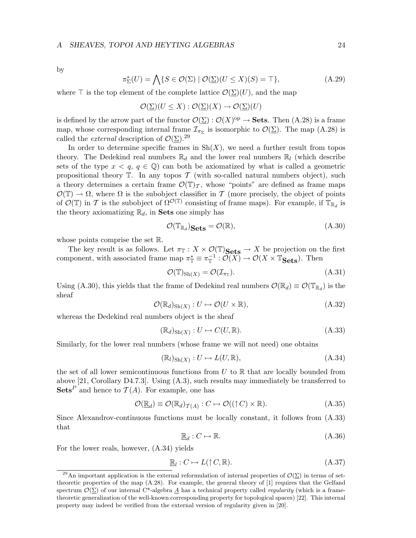by

$$
\pi_{\Sigma}^*(U) = \bigwedge \{ S \in \mathcal{O}(\Sigma) \mid \mathcal{O}(\Sigma)(U \le X)(S) = \top \},\tag{A.29}
$$

where  $\top$  is the top element of the complete lattice  $\mathcal{O}(\Sigma)(U)$ , and the map

$$
\mathcal{O}(\underline{\Sigma})(U \leq X) : \mathcal{O}(\underline{\Sigma})(X) \to \mathcal{O}(\underline{\Sigma})(U)
$$

is defined by the arrow part of the functor  $\mathcal{O}(\Sigma) : \mathcal{O}(X)^\text{op} \to \mathbf{Sets}$ . Then  $(A.28)$  is a frame map, whose corresponding internal frame  $\mathcal{I}_{\pi_{\Sigma}}$  is isomorphic to  $\mathcal{O}(\underline{\Sigma})$ . The map (A.28) is called the *external* description of  $\mathcal{O}(\Sigma)$ .<sup>29</sup>

In order to determine specific frames in  $\mathrm{Sh}(X)$ , we need a further result from topos theory. The Dedekind real numbers  $\mathbb{R}_d$  and the lower real numbers  $\mathbb{R}_l$  (which describe sets of the type  $x < q$ ,  $q \in \mathbb{Q}$  can both be axiomatized by what is called a geometric propositional theory  $\mathbb T$ . In any topos  $\mathcal T$  (with so-called natural numbers object), such a theory determines a certain frame  $\mathcal{O}(\mathbb{T})_{\mathcal{T}}$ , whose "points" are defined as frame maps  $\mathcal{O}(\mathbb{T}) \to \Omega$ , where  $\Omega$  is the subobject classifier in T (more precisely, the object of points of  $\mathcal{O}(\mathbb{T})$  in T is the subobject of  $\Omega^{\mathcal{O}(\mathbb{T})}$  consisting of frame maps). For example, if  $\mathbb{T}_{\mathbb{R}_d}$  is the theory axiomatizing  $\mathbb{R}_d$ , in **Sets** one simply has

$$
\mathcal{O}(\mathbb{T}_{\mathbb{R}_d})_{\text{Sets}} = \mathcal{O}(\mathbb{R}),\tag{A.30}
$$

whose points comprise the set R.

The key result is as follows. Let  $\pi_{\mathbb{T}} : X \times \mathcal{O}(\mathbb{T})$  Sets  $\to X$  be projection on the first component, with associated frame map  $\pi_{\mathbb{T}}^* \equiv \pi_{\mathbb{T}}^{-1} : \widetilde{\mathcal{O}(X)} \to \mathcal{O}(X \times \mathbb{T}_{\mathbf{Sets}})$ . Then

$$
\mathcal{O}(\mathbb{T})_{\text{Sh}(X)} = \mathcal{O}(\mathcal{I}_{\pi_{\mathbb{T}}}).\tag{A.31}
$$

Using (A.30), this yields that the frame of Dedekind real numbers  $\mathcal{O}(\mathbb{R}_d) \equiv \mathcal{O}(\mathbb{T}_{\mathbb{R}_d})$  is the sheaf

$$
\mathcal{O}(\mathbb{R}_d)_{\text{Sh}(X)} : U \mapsto \mathcal{O}(U \times \mathbb{R}), \tag{A.32}
$$

whereas the Dedekind real numbers object is the sheaf

$$
(\mathbb{R}_d)_{\text{Sh}(X)} : U \mapsto C(U, \mathbb{R}).\tag{A.33}
$$

Similarly, for the lower real numbers (whose frame we will not need) one obtains

$$
(\mathbb{R}_l)_{\text{Sh}(X)} : U \mapsto L(U, \mathbb{R}), \tag{A.34}
$$

the set of all lower semicontinuous functions from  $U$  to  $\mathbb R$  that are locally bounded from above [21, Corollary D4.7.3]. Using (A.3), such results may immediately be transferred to **Sets**<sup>*P*</sup> and hence to  $\mathcal{T}(A)$ . For example, one has

$$
\mathcal{O}(\underline{\mathbb{R}}_d) \equiv \mathcal{O}(\mathbb{R}_d)_{\mathcal{T}(A)} : C \mapsto \mathcal{O}((\uparrow C) \times \mathbb{R}). \tag{A.35}
$$

Since Alexandrov-continuous functions must be locally constant, it follows from (A.33) that

$$
\mathbb{R}_d: C \mapsto \mathbb{R}.\tag{A.36}
$$

For the lower reals, however, (A.34) yields

$$
\underline{\mathbb{R}}_l: C \mapsto L(\uparrow C, \mathbb{R}).\tag{A.37}
$$

<sup>&</sup>lt;sup>29</sup>An important application is the external reformulation of internal properties of  $\mathcal{O}(\Sigma)$  in terms of settheoretic properties of the map (A.28). For example, the general theory of [1] requires that the Gelfand spectrum  $\mathcal{O}(\Sigma)$  of our internal C\*-algebra A has a technical property called *regularity* (which is a frametheoretic generalization of the well-known corresponding property for topological spaces) [22]. This internal property may indeed be verified from the external version of regularity given in [20].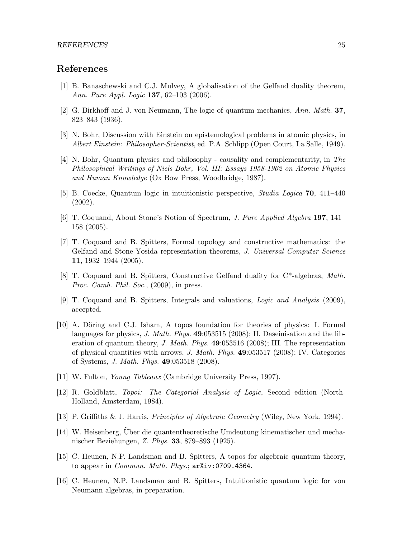## References

- [1] B. Banaschewski and C.J. Mulvey, A globalisation of the Gelfand duality theorem, Ann. Pure Appl. Logic 137, 62–103 (2006).
- [2] G. Birkhoff and J. von Neumann, The logic of quantum mechanics, Ann. Math. 37, 823–843 (1936).
- [3] N. Bohr, Discussion with Einstein on epistemological problems in atomic physics, in Albert Einstein: Philosopher-Scientist, ed. P.A. Schlipp (Open Court, La Salle, 1949).
- [4] N. Bohr, Quantum physics and philosophy causality and complementarity, in The Philosophical Writings of Niels Bohr, Vol. III: Essays 1958-1962 on Atomic Physics and Human Knowledge (Ox Bow Press, Woodbridge, 1987).
- [5] B. Coecke, Quantum logic in intuitionistic perspective, Studia Logica 70, 411–440 (2002).
- [6] T. Coquand, About Stone's Notion of Spectrum, J. Pure Applied Algebra 197, 141– 158 (2005).
- [7] T. Coquand and B. Spitters, Formal topology and constructive mathematics: the Gelfand and Stone-Yosida representation theorems, J. Universal Computer Science 11, 1932–1944 (2005).
- [8] T. Coquand and B. Spitters, Constructive Gelfand duality for C\*-algebras, Math. Proc. Camb. Phil. Soc., (2009), in press.
- [9] T. Coquand and B. Spitters, Integrals and valuations, Logic and Analysis (2009), accepted.
- [10] A. Döring and C.J. Isham, A topos foundation for theories of physics: I. Formal languages for physics, J. Math. Phys.  $49:053515$  (2008); II. Daseinisation and the liberation of quantum theory, J. Math. Phys. 49:053516 (2008); III. The representation of physical quantities with arrows, J. Math. Phys. 49:053517 (2008); IV. Categories of Systems, J. Math. Phys. 49:053518 (2008).
- [11] W. Fulton, Young Tableaux (Cambridge University Press, 1997).
- [12] R. Goldblatt, Topoi: The Categorial Analysis of Logic, Second edition (North-Holland, Amsterdam, 1984).
- [13] P. Griffiths & J. Harris, Principles of Algebraic Geometry (Wiley, New York, 1994).
- [14] W. Heisenberg, Über die quantentheoretische Umdeutung kinematischer und mechanischer Beziehungen, Z. Phys. 33, 879–893 (1925).
- [15] C. Heunen, N.P. Landsman and B. Spitters, A topos for algebraic quantum theory, to appear in *Commun. Math. Phys.*;  $arXiv:0709.4364$ .
- [16] C. Heunen, N.P. Landsman and B. Spitters, Intuitionistic quantum logic for von Neumann algebras, in preparation.